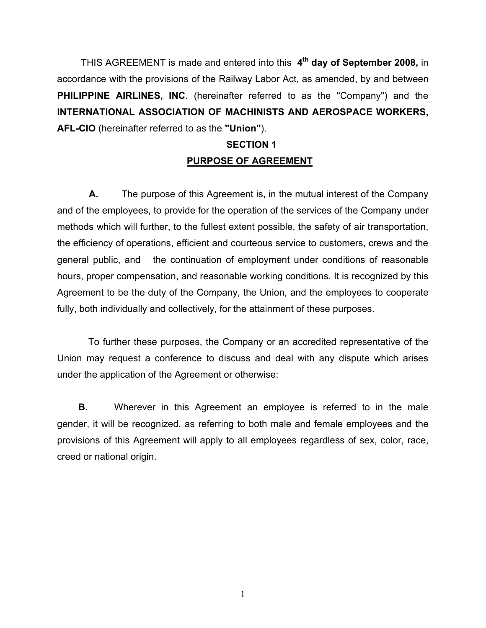THIS AGREEMENT is made and entered into this **4th day of September 2008,** in accordance with the provisions of the Railway Labor Act, as amended, by and between **PHILIPPINE AIRLINES, INC**. (hereinafter referred to as the "Company") and the **INTERNATIONAL ASSOCIATION OF MACHINISTS AND AEROSPACE WORKERS, AFL-CIO** (hereinafter referred to as the **"Union"**).

# **SECTION 1 PURPOSE OF AGREEMENT**

 **A.** The purpose of this Agreement is, in the mutual interest of the Company and of the employees, to provide for the operation of the services of the Company under methods which will further, to the fullest extent possible, the safety of air transportation, the efficiency of operations, efficient and courteous service to customers, crews and the general public, and the continuation of employment under conditions of reasonable hours, proper compensation, and reasonable working conditions. It is recognized by this Agreement to be the duty of the Company, the Union, and the employees to cooperate fully, both individually and collectively, for the attainment of these purposes.

 To further these purposes, the Company or an accredited representative of the Union may request a conference to discuss and deal with any dispute which arises under the application of the Agreement or otherwise:

**B.** Wherever in this Agreement an employee is referred to in the male gender, it will be recognized, as referring to both male and female employees and the provisions of this Agreement will apply to all employees regardless of sex, color, race, creed or national origin.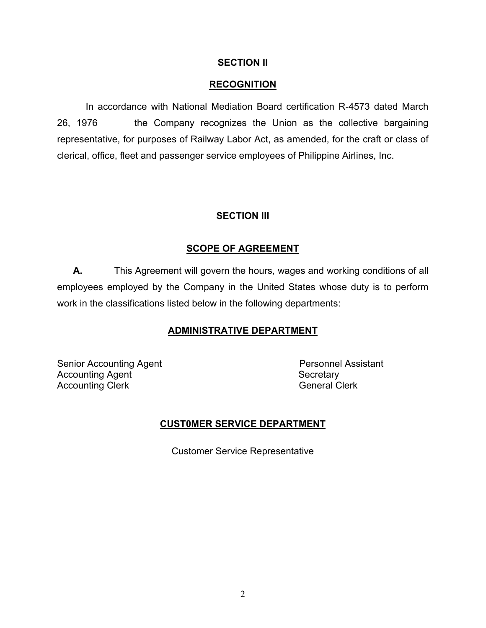## **SECTION II**

## **RECOGNITION**

In accordance with National Mediation Board certification R-4573 dated March 26, 1976 the Company recognizes the Union as the collective bargaining representative, for purposes of Railway Labor Act, as amended, for the craft or class of clerical, office, fleet and passenger service employees of Philippine Airlines, Inc.

## **SECTION III**

## **SCOPE OF AGREEMENT**

 **A.** This Agreement will govern the hours, wages and working conditions of all employees employed by the Company in the United States whose duty is to perform work in the classifications listed below in the following departments:

## **ADMINISTRATIVE DEPARTMENT**

Senior Accounting Agent **Personnel Assistant** Accounting Agent **Secretary** Accounting Clerk **General Clerk** General Clerk

## **CUST0MER SERVICE DEPARTMENT**

Customer Service Representative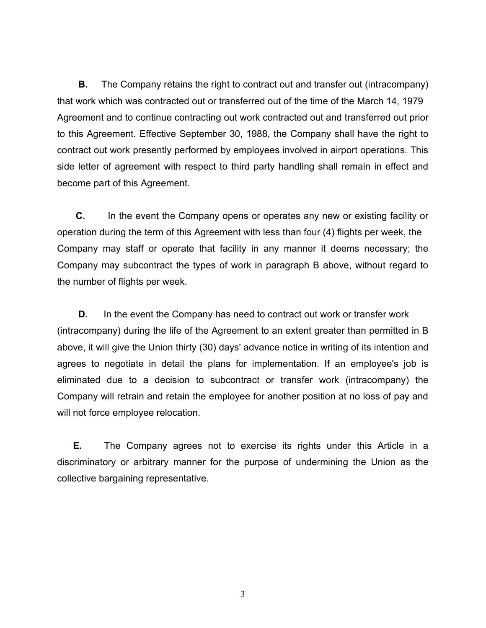**B.** The Company retains the right to contract out and transfer out (intracompany) that work which was contracted out or transferred out of the time of the March 14, 1979 Agreement and to continue contracting out work contracted out and transferred out prior to this Agreement. Effective September 30, 1988, the Company shall have the right to contract out work presently performed by employees involved in airport operations. This side letter of agreement with respect to third party handling shall remain in effect and become part of this Agreement.

 **C.** In the event the Company opens or operates any new or existing facility or operation during the term of this Agreement with less than four (4) flights per week, the Company may staff or operate that facility in any manner it deems necessary; the Company may subcontract the types of work in paragraph B above, without regard to the number of flights per week.

**D.** In the event the Company has need to contract out work or transfer work (intracompany) during the life of the Agreement to an extent greater than permitted in B above, it will give the Union thirty (30) days' advance notice in writing of its intention and agrees to negotiate in detail the plans for implementation. If an employee's job is eliminated due to a decision to subcontract or transfer work (intracompany) the Company will retrain and retain the employee for another position at no loss of pay and will not force employee relocation.

**E.** The Company agrees not to exercise its rights under this Article in a discriminatory or arbitrary manner for the purpose of undermining the Union as the collective bargaining representative.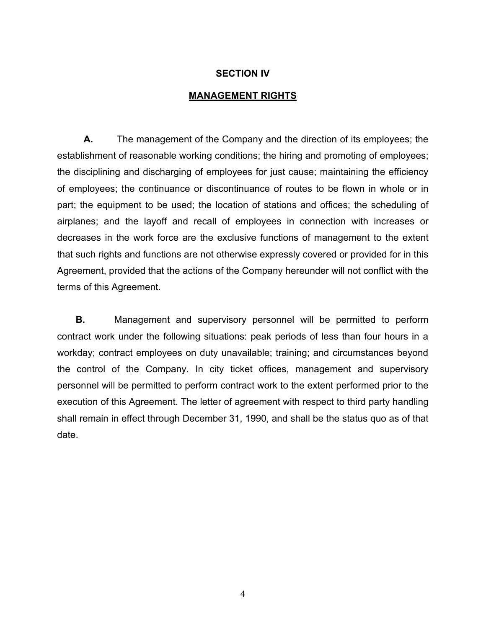## **SECTION IV**

#### **MANAGEMENT RIGHTS**

 **A.** The management of the Company and the direction of its employees; the establishment of reasonable working conditions; the hiring and promoting of employees; the disciplining and discharging of employees for just cause; maintaining the efficiency of employees; the continuance or discontinuance of routes to be flown in whole or in part; the equipment to be used; the location of stations and offices; the scheduling of airplanes; and the layoff and recall of employees in connection with increases or decreases in the work force are the exclusive functions of management to the extent that such rights and functions are not otherwise expressly covered or provided for in this Agreement, provided that the actions of the Company hereunder will not conflict with the terms of this Agreement.

**B.** Management and supervisory personnel will be permitted to perform contract work under the following situations: peak periods of less than four hours in a workday; contract employees on duty unavailable; training; and circumstances beyond the control of the Company. In city ticket offices, management and supervisory personnel will be permitted to perform contract work to the extent performed prior to the execution of this Agreement. The letter of agreement with respect to third party handling shall remain in effect through December 31, 1990, and shall be the status quo as of that date.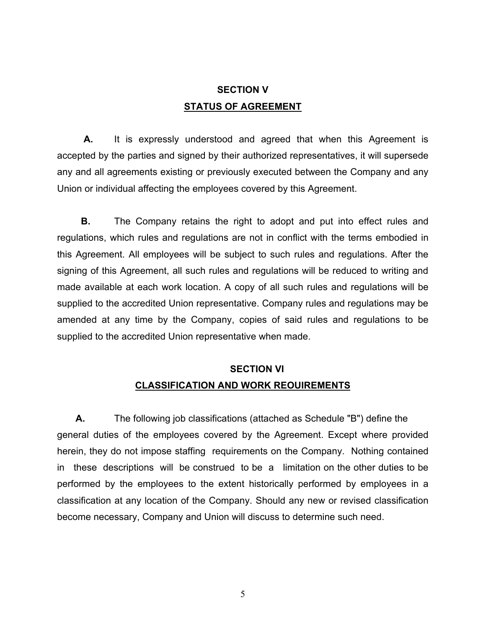# **SECTION V STATUS OF AGREEMENT**

 **A.** It is expressly understood and agreed that when this Agreement is accepted by the parties and signed by their authorized representatives, it will supersede any and all agreements existing or previously executed between the Company and any Union or individual affecting the employees covered by this Agreement.

 **B.** The Company retains the right to adopt and put into effect rules and regulations, which rules and regulations are not in conflict with the terms embodied in this Agreement. All employees will be subject to such rules and regulations. After the signing of this Agreement, all such rules and regulations will be reduced to writing and made available at each work location. A copy of all such rules and regulations will be supplied to the accredited Union representative. Company rules and regulations may be amended at any time by the Company, copies of said rules and regulations to be supplied to the accredited Union representative when made.

# **SECTION VI CLASSIFICATION AND WORK REOUIREMENTS**

**A.** The following job classifications (attached as Schedule "B") define the general duties of the employees covered by the Agreement. Except where provided herein, they do not impose staffing requirements on the Company. Nothing contained in these descriptions will be construed to be a limitation on the other duties to be performed by the employees to the extent historically performed by employees in a classification at any location of the Company. Should any new or revised classification become necessary, Company and Union will discuss to determine such need.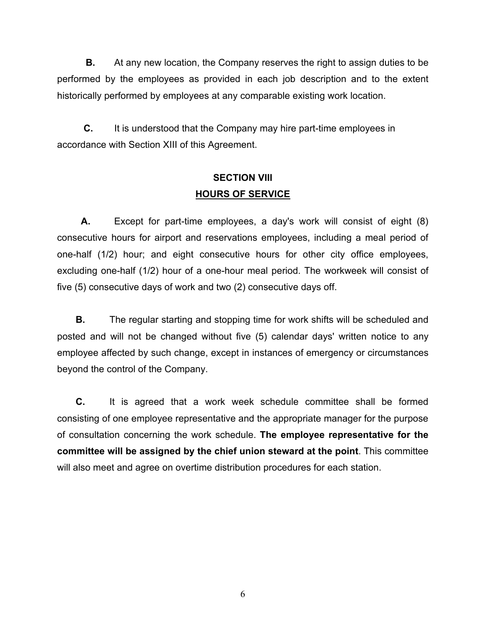**B.** At any new location, the Company reserves the right to assign duties to be performed by the employees as provided in each job description and to the extent historically performed by employees at any comparable existing work location.

**C.** It is understood that the Company may hire part-time employees in accordance with Section XIII of this Agreement.

# **SECTION VIII HOURS OF SERVICE**

 **A.** Except for part-time employees, a day's work will consist of eight (8) consecutive hours for airport and reservations employees, including a meal period of one-half (1/2) hour; and eight consecutive hours for other city office employees, excluding one-half (1/2) hour of a one-hour meal period. The workweek will consist of five (5) consecutive days of work and two (2) consecutive days off.

**B.** The regular starting and stopping time for work shifts will be scheduled and posted and will not be changed without five (5) calendar days' written notice to any employee affected by such change, except in instances of emergency or circumstances beyond the control of the Company.

 **C.** It is agreed that a work week schedule committee shall be formed consisting of one employee representative and the appropriate manager for the purpose of consultation concerning the work schedule. **The employee representative for the committee will be assigned by the chief union steward at the point**. This committee will also meet and agree on overtime distribution procedures for each station.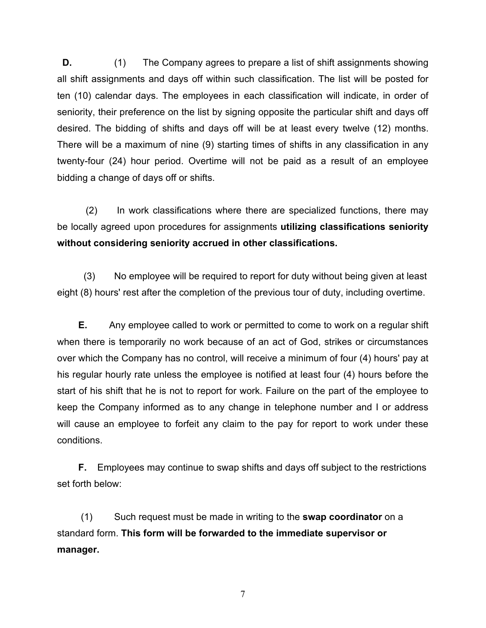**D.** (1) The Company agrees to prepare a list of shift assignments showing all shift assignments and days off within such classification. The list will be posted for ten (10) calendar days. The employees in each classification will indicate, in order of seniority, their preference on the list by signing opposite the particular shift and days off desired. The bidding of shifts and days off will be at least every twelve (12) months. There will be a maximum of nine (9) starting times of shifts in any classification in any twenty-four (24) hour period. Overtime will not be paid as a result of an employee bidding a change of days off or shifts.

(2) In work classifications where there are specialized functions, there may be locally agreed upon procedures for assignments **utilizing classifications seniority without considering seniority accrued in other classifications.**

 (3) No employee will be required to report for duty without being given at least eight (8) hours' rest after the completion of the previous tour of duty, including overtime.

 **E.** Any employee called to work or permitted to come to work on a regular shift when there is temporarily no work because of an act of God, strikes or circumstances over which the Company has no control, will receive a minimum of four (4) hours' pay at his regular hourly rate unless the employee is notified at least four (4) hours before the start of his shift that he is not to report for work. Failure on the part of the employee to keep the Company informed as to any change in telephone number and I or address will cause an employee to forfeit any claim to the pay for report to work under these conditions.

 **F.** Employees may continue to swap shifts and days off subject to the restrictions set forth below:

 (1) Such request must be made in writing to the **swap coordinator** on a standard form. **This form will be forwarded to the immediate supervisor or manager.**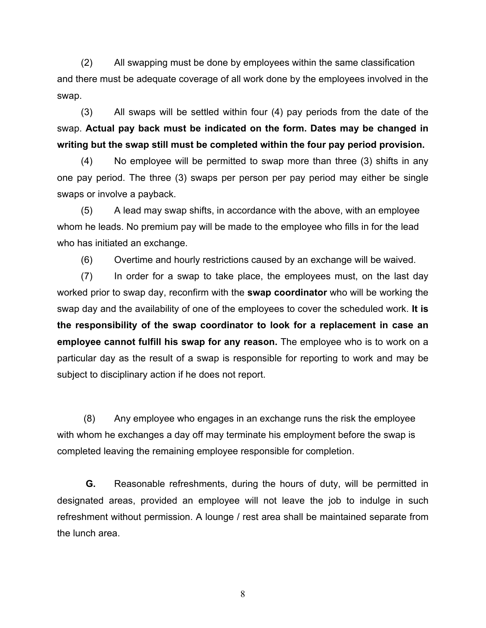(2) All swapping must be done by employees within the same classification and there must be adequate coverage of all work done by the employees involved in the swap.

 (3) All swaps will be settled within four (4) pay periods from the date of the swap. **Actual pay back must be indicated on the form. Dates may be changed in writing but the swap still must be completed within the four pay period provision.**

 (4) No employee will be permitted to swap more than three (3) shifts in any one pay period. The three (3) swaps per person per pay period may either be single swaps or involve a payback.

 (5) A lead may swap shifts, in accordance with the above, with an employee whom he leads. No premium pay will be made to the employee who fills in for the lead who has initiated an exchange.

(6) Overtime and hourly restrictions caused by an exchange will be waived.

 (7) In order for a swap to take place, the employees must, on the last day worked prior to swap day, reconfirm with the **swap coordinator** who will be working the swap day and the availability of one of the employees to cover the scheduled work. **It is the responsibility of the swap coordinator to look for a replacement in case an employee cannot fulfill his swap for any reason.** The employee who is to work on a particular day as the result of a swap is responsible for reporting to work and may be subject to disciplinary action if he does not report.

 (8) Any employee who engages in an exchange runs the risk the employee with whom he exchanges a day off may terminate his employment before the swap is completed leaving the remaining employee responsible for completion.

**G.** Reasonable refreshments, during the hours of duty, will be permitted in designated areas, provided an employee will not leave the job to indulge in such refreshment without permission. A lounge / rest area shall be maintained separate from the lunch area.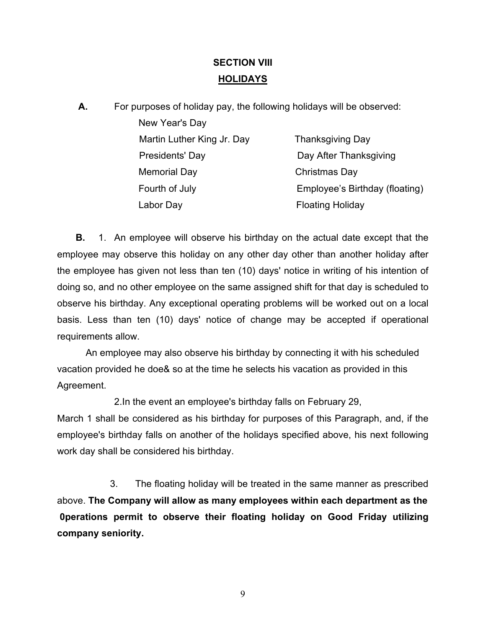# **SECTION VIII HOLIDAYS**

| А. | For purposes of holiday pay, the following holidays will be observed: |                                |
|----|-----------------------------------------------------------------------|--------------------------------|
|    | New Year's Day                                                        |                                |
|    | Martin Luther King Jr. Day                                            | <b>Thanksgiving Day</b>        |
|    | Presidents' Day                                                       | Day After Thanksgiving         |
|    | <b>Memorial Day</b>                                                   | Christmas Day                  |
|    | Fourth of July                                                        | Employee's Birthday (floating) |
|    | Labor Day                                                             | <b>Floating Holiday</b>        |
|    |                                                                       |                                |

 **B.** 1. An employee will observe his birthday on the actual date except that the employee may observe this holiday on any other day other than another holiday after the employee has given not less than ten (10) days' notice in writing of his intention of doing so, and no other employee on the same assigned shift for that day is scheduled to observe his birthday. Any exceptional operating problems will be worked out on a local basis. Less than ten (10) days' notice of change may be accepted if operational requirements allow.

An employee may also observe his birthday by connecting it with his scheduled vacation provided he doe& so at the time he selects his vacation as provided in this Agreement.

2.In the event an employee's birthday falls on February 29,

March 1 shall be considered as his birthday for purposes of this Paragraph, and, if the employee's birthday falls on another of the holidays specified above, his next following work day shall be considered his birthday.

 3. The floating holiday will be treated in the same manner as prescribed above. **The Company will allow as many employees within each department as the 0perations permit to observe their floating holiday on Good Friday utilizing company seniority.**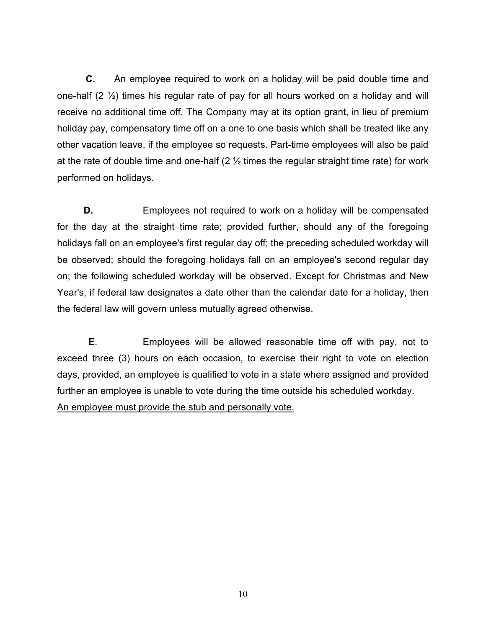**C.** An employee required to work on a holiday will be paid double time and one-half (2 ½) times his regular rate of pay for all hours worked on a holiday and will receive no additional time off. The Company may at its option grant, in lieu of premium holiday pay, compensatory time off on a one to one basis which shall be treated like any other vacation leave, if the employee so requests. Part-time employees will also be paid at the rate of double time and one-half  $(2 \frac{1}{2})$  times the regular straight time rate) for work performed on holidays.

**D. Employees not required to work on a holiday will be compensated** for the day at the straight time rate; provided further, should any of the foregoing holidays fall on an employee's first regular day off; the preceding scheduled workday will be observed; should the foregoing holidays fall on an employee's second regular day on; the following scheduled workday will be observed. Except for Christmas and New Year's, if federal law designates a date other than the calendar date for a holiday, then the federal law will govern unless mutually agreed otherwise.

**E**. Employees will be allowed reasonable time off with pay, not to exceed three (3) hours on each occasion, to exercise their right to vote on election days, provided, an employee is qualified to vote in a state where assigned and provided further an employee is unable to vote during the time outside his scheduled workday. An employee must provide the stub and personally vote.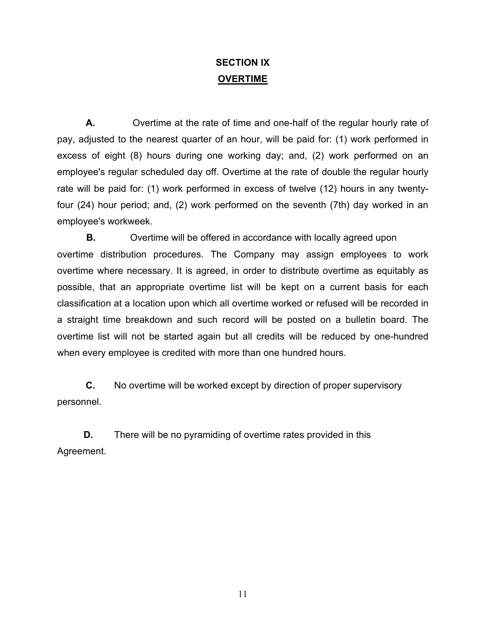# **SECTION IX OVERTIME**

**A.** Overtime at the rate of time and one-half of the regular hourly rate of pay, adjusted to the nearest quarter of an hour, will be paid for: (1) work performed in excess of eight (8) hours during one working day; and, (2) work performed on an employee's regular scheduled day off. Overtime at the rate of double the regular hourly rate will be paid for: (1) work performed in excess of twelve (12) hours in any twentyfour (24) hour period; and, (2) work performed on the seventh (7th) day worked in an employee's workweek.

**B.** Overtime will be offered in accordance with locally agreed upon overtime distribution procedures. The Company may assign employees to work overtime where necessary. It is agreed, in order to distribute overtime as equitably as possible, that an appropriate overtime list will be kept on a current basis for each classification at a location upon which all overtime worked or refused will be recorded in a straight time breakdown and such record will be posted on a bulletin board. The overtime list will not be started again but all credits will be reduced by one-hundred when every employee is credited with more than one hundred hours.

**C.** No overtime will be worked except by direction of proper supervisory personnel.

**D.** There will be no pyramiding of overtime rates provided in this Agreement.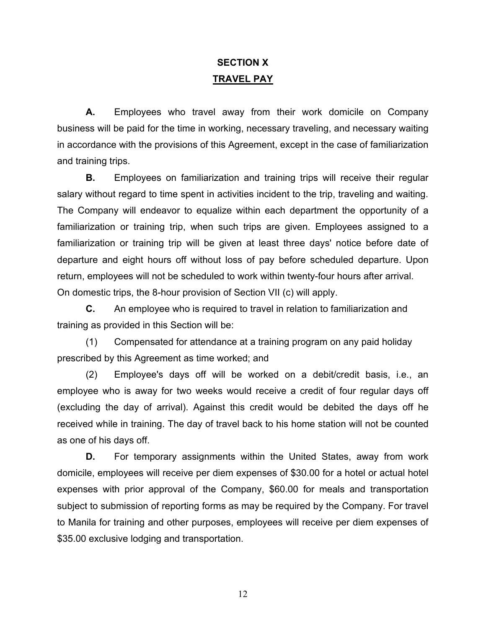# **SECTION X TRAVEL PAY**

**A.** Employees who travel away from their work domicile on Company business will be paid for the time in working, necessary traveling, and necessary waiting in accordance with the provisions of this Agreement, except in the case of familiarization and training trips.

**B.** Employees on familiarization and training trips will receive their regular salary without regard to time spent in activities incident to the trip, traveling and waiting. The Company will endeavor to equalize within each department the opportunity of a familiarization or training trip, when such trips are given. Employees assigned to a familiarization or training trip will be given at least three days' notice before date of departure and eight hours off without loss of pay before scheduled departure. Upon return, employees will not be scheduled to work within twenty-four hours after arrival. On domestic trips, the 8-hour provision of Section VII (c) will apply.

**C.** An employee who is required to travel in relation to familiarization and training as provided in this Section will be:

(1) Compensated for attendance at a training program on any paid holiday prescribed by this Agreement as time worked; and

(2) Employee's days off will be worked on a debit/credit basis, i.e., an employee who is away for two weeks would receive a credit of four regular days off (excluding the day of arrival). Against this credit would be debited the days off he received while in training. The day of travel back to his home station will not be counted as one of his days off.

**D.** For temporary assignments within the United States, away from work domicile, employees will receive per diem expenses of \$30.00 for a hotel or actual hotel expenses with prior approval of the Company, \$60.00 for meals and transportation subject to submission of reporting forms as may be required by the Company. For travel to Manila for training and other purposes, employees will receive per diem expenses of \$35.00 exclusive lodging and transportation.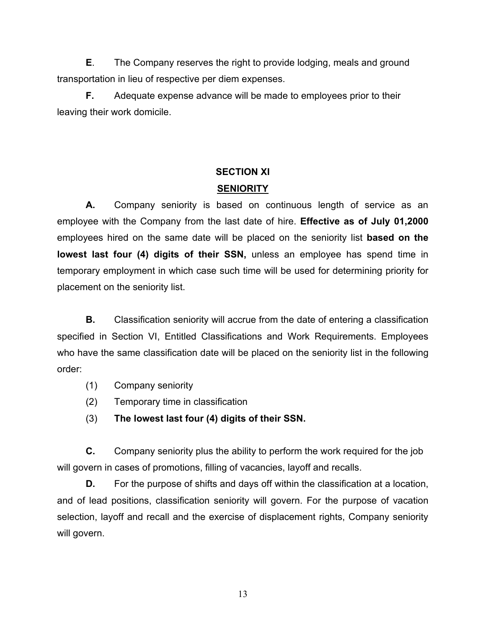**E**. The Company reserves the right to provide lodging, meals and ground transportation in lieu of respective per diem expenses.

**F.** Adequate expense advance will be made to employees prior to their leaving their work domicile.

# **SECTION XI SENIORITY**

**A.** Company seniority is based on continuous length of service as an employee with the Company from the last date of hire. **Effective as of July 01,2000** employees hired on the same date will be placed on the seniority list **based on the lowest last four (4) digits of their SSN,** unless an employee has spend time in temporary employment in which case such time will be used for determining priority for placement on the seniority list.

**B.** Classification seniority will accrue from the date of entering a classification specified in Section VI, Entitled Classifications and Work Requirements. Employees who have the same classification date will be placed on the seniority list in the following order:

- (1) Company seniority
- (2) Temporary time in classification
- (3) **The lowest last four (4) digits of their SSN.**

**C.** Company seniority plus the ability to perform the work required for the job will govern in cases of promotions, filling of vacancies, layoff and recalls.

**D.** For the purpose of shifts and days off within the classification at a location, and of lead positions, classification seniority will govern. For the purpose of vacation selection, layoff and recall and the exercise of displacement rights, Company seniority will govern.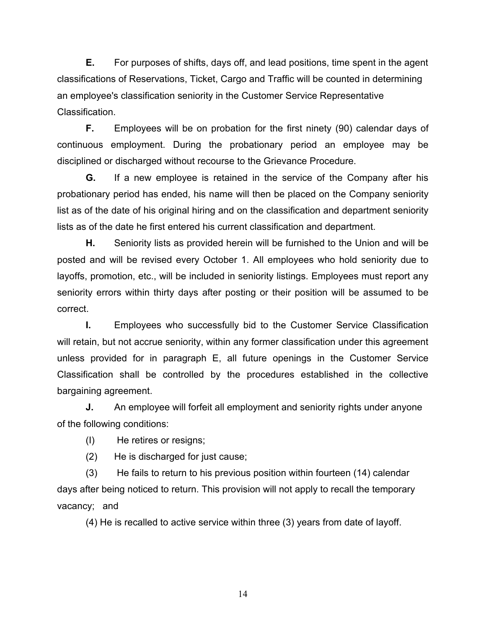**E.** For purposes of shifts, days off, and lead positions, time spent in the agent classifications of Reservations, Ticket, Cargo and Traffic will be counted in determining an employee's classification seniority in the Customer Service Representative Classification.

**F.** Employees will be on probation for the first ninety (90) calendar days of continuous employment. During the probationary period an employee may be disciplined or discharged without recourse to the Grievance Procedure.

**G.** If a new employee is retained in the service of the Company after his probationary period has ended, his name will then be placed on the Company seniority list as of the date of his original hiring and on the classification and department seniority lists as of the date he first entered his current classification and department.

**H.** Seniority lists as provided herein will be furnished to the Union and will be posted and will be revised every October 1. All employees who hold seniority due to layoffs, promotion, etc., will be included in seniority listings. Employees must report any seniority errors within thirty days after posting or their position will be assumed to be correct.

**I.** Employees who successfully bid to the Customer Service Classification will retain, but not accrue seniority, within any former classification under this agreement unless provided for in paragraph E, all future openings in the Customer Service Classification shall be controlled by the procedures established in the collective bargaining agreement.

**J.** An employee will forfeit all employment and seniority rights under anyone of the following conditions:

(I) He retires or resigns;

(2) He is discharged for just cause;

(3) He fails to return to his previous position within fourteen (14) calendar days after being noticed to return. This provision will not apply to recall the temporary vacancy; and

(4) He is recalled to active service within three (3) years from date of layoff.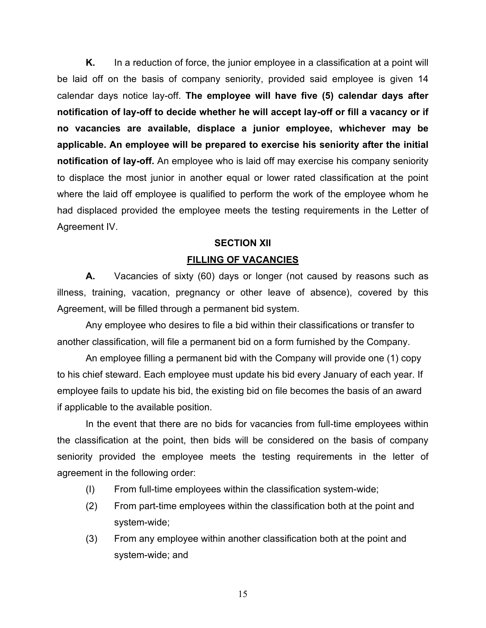**K.** In a reduction of force, the junior employee in a classification at a point will be laid off on the basis of company seniority, provided said employee is given 14 calendar days notice lay-off. **The employee will have five (5) calendar days after notification of lay-off to decide whether he will accept lay-off or fill a vacancy or if no vacancies are available, displace a junior employee, whichever may be applicable. An employee will be prepared to exercise his seniority after the initial notification of lay-off.** An employee who is laid off may exercise his company seniority to displace the most junior in another equal or lower rated classification at the point where the laid off employee is qualified to perform the work of the employee whom he had displaced provided the employee meets the testing requirements in the Letter of Agreement IV.

## **SECTION XII**

## **FILLING OF VACANCIES**

**A.** Vacancies of sixty (60) days or longer (not caused by reasons such as illness, training, vacation, pregnancy or other leave of absence), covered by this Agreement, will be filled through a permanent bid system.

Any employee who desires to file a bid within their classifications or transfer to another classification, will file a permanent bid on a form furnished by the Company.

An employee filling a permanent bid with the Company will provide one (1) copy to his chief steward. Each employee must update his bid every January of each year. If employee fails to update his bid, the existing bid on file becomes the basis of an award if applicable to the available position.

In the event that there are no bids for vacancies from full-time employees within the classification at the point, then bids will be considered on the basis of company seniority provided the employee meets the testing requirements in the letter of agreement in the following order:

- (I) From full-time employees within the classification system-wide;
- (2) From part-time employees within the classification both at the point and system-wide;
- (3) From any employee within another classification both at the point and system-wide; and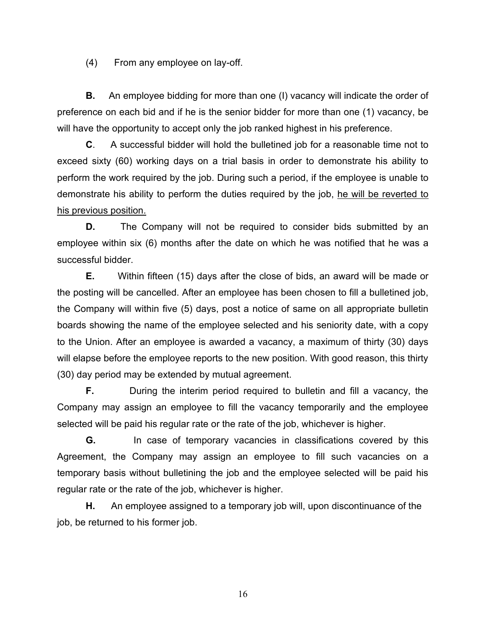(4) From any employee on lay-off.

**B.** An employee bidding for more than one (I) vacancy will indicate the order of preference on each bid and if he is the senior bidder for more than one (1) vacancy, be will have the opportunity to accept only the job ranked highest in his preference.

**C**. A successful bidder will hold the bulletined job for a reasonable time not to exceed sixty (60) working days on a trial basis in order to demonstrate his ability to perform the work required by the job. During such a period, if the employee is unable to demonstrate his ability to perform the duties required by the job, he will be reverted to his previous position.

**D.** The Company will not be required to consider bids submitted by an employee within six (6) months after the date on which he was notified that he was a successful bidder.

**E.** Within fifteen (15) days after the close of bids, an award will be made or the posting will be cancelled. After an employee has been chosen to fill a bulletined job, the Company will within five (5) days, post a notice of same on all appropriate bulletin boards showing the name of the employee selected and his seniority date, with a copy to the Union. After an employee is awarded a vacancy, a maximum of thirty (30) days will elapse before the employee reports to the new position. With good reason, this thirty (30) day period may be extended by mutual agreement.

**F.** During the interim period required to bulletin and fill a vacancy, the Company may assign an employee to fill the vacancy temporarily and the employee selected will be paid his regular rate or the rate of the job, whichever is higher.

**G.** In case of temporary vacancies in classifications covered by this Agreement, the Company may assign an employee to fill such vacancies on a temporary basis without bulletining the job and the employee selected will be paid his regular rate or the rate of the job, whichever is higher.

**H.** An employee assigned to a temporary job will, upon discontinuance of the job, be returned to his former job.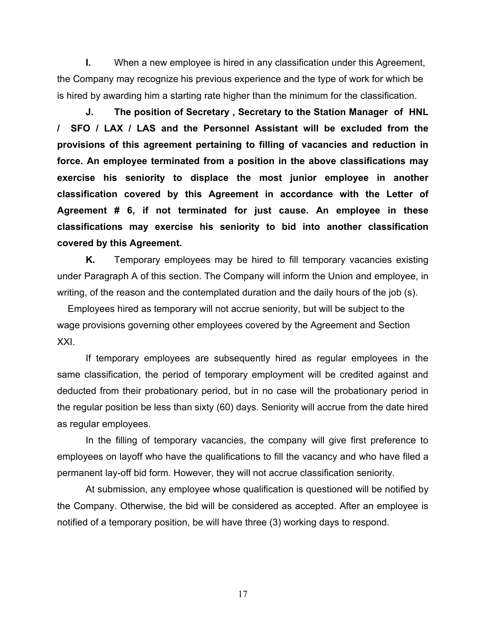**I.** When a new employee is hired in any classification under this Agreement, the Company may recognize his previous experience and the type of work for which be is hired by awarding him a starting rate higher than the minimum for the classification.

**J. The position of Secretary , Secretary to the Station Manager of HNL / SFO / LAX / LAS and the Personnel Assistant will be excluded from the provisions of this agreement pertaining to filling of vacancies and reduction in force. An employee terminated from a position in the above classifications may exercise his seniority to displace the most junior employee in another classification covered by this Agreement in accordance with the Letter of Agreement # 6, if not terminated for just cause. An employee in these classifications may exercise his seniority to bid into another classification covered by this Agreement.**

**K.** Temporary employees may be hired to fill temporary vacancies existing under Paragraph A of this section. The Company will inform the Union and employee, in writing, of the reason and the contemplated duration and the daily hours of the job (s).

 Employees hired as temporary will not accrue seniority, but will be subject to the wage provisions governing other employees covered by the Agreement and Section XXI.

If temporary employees are subsequently hired as regular employees in the same classification, the period of temporary employment will be credited against and deducted from their probationary period, but in no case will the probationary period in the regular position be less than sixty (60) days. Seniority will accrue from the date hired as regular employees.

In the filling of temporary vacancies, the company will give first preference to employees on layoff who have the qualifications to fill the vacancy and who have filed a permanent lay-off bid form. However, they will not accrue classification seniority.

At submission, any employee whose qualification is questioned will be notified by the Company. Otherwise, the bid will be considered as accepted. After an employee is notified of a temporary position, be will have three (3) working days to respond.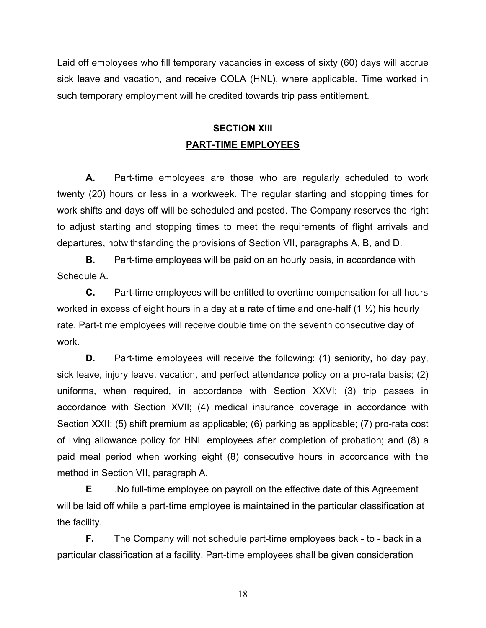Laid off employees who fill temporary vacancies in excess of sixty (60) days will accrue sick leave and vacation, and receive COLA (HNL), where applicable. Time worked in such temporary employment will he credited towards trip pass entitlement.

# **SECTION XIII PART-TIME EMPLOYEES**

**A.** Part-time employees are those who are regularly scheduled to work twenty (20) hours or less in a workweek. The regular starting and stopping times for work shifts and days off will be scheduled and posted. The Company reserves the right to adjust starting and stopping times to meet the requirements of flight arrivals and departures, notwithstanding the provisions of Section VII, paragraphs A, B, and D.

**B.** Part-time employees will be paid on an hourly basis, in accordance with Schedule A.

**C.** Part-time employees will be entitled to overtime compensation for all hours worked in excess of eight hours in a day at a rate of time and one-half  $(1 \frac{1}{2})$  his hourly rate. Part-time employees will receive double time on the seventh consecutive day of work.

**D.** Part-time employees will receive the following: (1) seniority, holiday pay, sick leave, injury leave, vacation, and perfect attendance policy on a pro-rata basis; (2) uniforms, when required, in accordance with Section XXVI; (3) trip passes in accordance with Section XVII; (4) medical insurance coverage in accordance with Section XXII; (5) shift premium as applicable; (6) parking as applicable; (7) pro-rata cost of living allowance policy for HNL employees after completion of probation; and (8) a paid meal period when working eight (8) consecutive hours in accordance with the method in Section VII, paragraph A.

**E** .No full-time employee on payroll on the effective date of this Agreement will be laid off while a part-time employee is maintained in the particular classification at the facility.

**F.** The Company will not schedule part-time employees back - to - back in a particular classification at a facility. Part-time employees shall be given consideration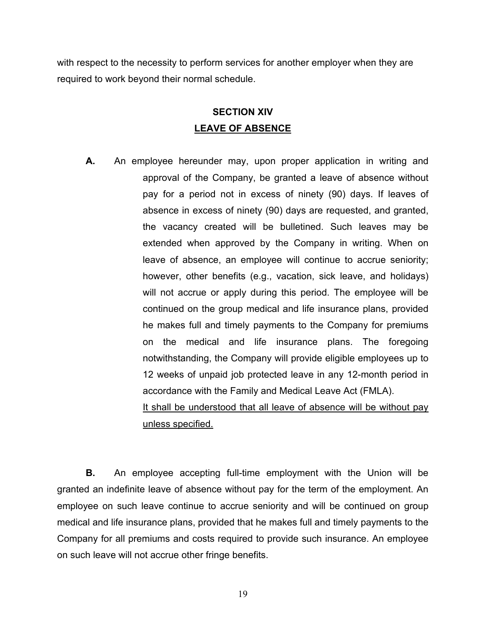with respect to the necessity to perform services for another employer when they are required to work beyond their normal schedule.

# **SECTION XIV LEAVE OF ABSENCE**

**A.** An employee hereunder may, upon proper application in writing and approval of the Company, be granted a leave of absence without pay for a period not in excess of ninety (90) days. If leaves of absence in excess of ninety (90) days are requested, and granted, the vacancy created will be bulletined. Such leaves may be extended when approved by the Company in writing. When on leave of absence, an employee will continue to accrue seniority; however, other benefits (e.g., vacation, sick leave, and holidays) will not accrue or apply during this period. The employee will be continued on the group medical and life insurance plans, provided he makes full and timely payments to the Company for premiums on the medical and life insurance plans. The foregoing notwithstanding, the Company will provide eligible employees up to 12 weeks of unpaid job protected leave in any 12-month period in accordance with the Family and Medical Leave Act (FMLA). It shall be understood that all leave of absence will be without pay unless specified.

**B.** An employee accepting full-time employment with the Union will be granted an indefinite leave of absence without pay for the term of the employment. An employee on such leave continue to accrue seniority and will be continued on group medical and life insurance plans, provided that he makes full and timely payments to the Company for all premiums and costs required to provide such insurance. An employee on such leave will not accrue other fringe benefits.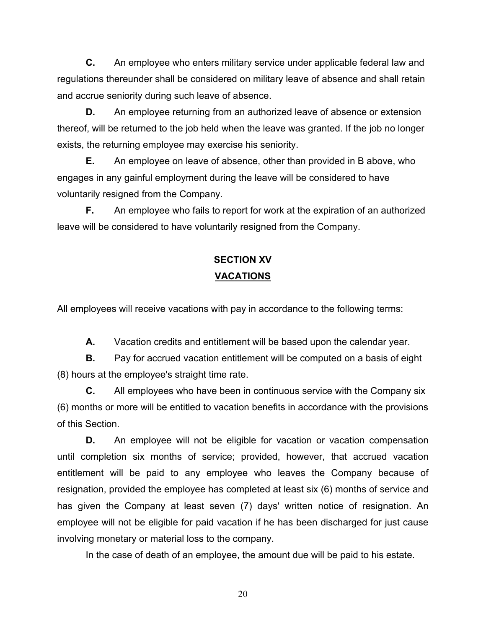**C.** An employee who enters military service under applicable federal law and regulations thereunder shall be considered on military leave of absence and shall retain and accrue seniority during such leave of absence.

**D.** An employee returning from an authorized leave of absence or extension thereof, will be returned to the job held when the leave was granted. If the job no longer exists, the returning employee may exercise his seniority.

**E.** An employee on leave of absence, other than provided in B above, who engages in any gainful employment during the leave will be considered to have voluntarily resigned from the Company.

**F.** An employee who fails to report for work at the expiration of an authorized leave will be considered to have voluntarily resigned from the Company.

# **SECTION XV VACATIONS**

All employees will receive vacations with pay in accordance to the following terms:

**A.** Vacation credits and entitlement will be based upon the calendar year.

**B.** Pay for accrued vacation entitlement will be computed on a basis of eight (8) hours at the employee's straight time rate.

**C.** All employees who have been in continuous service with the Company six (6) months or more will be entitled to vacation benefits in accordance with the provisions of this Section.

**D.** An employee will not be eligible for vacation or vacation compensation until completion six months of service; provided, however, that accrued vacation entitlement will be paid to any employee who leaves the Company because of resignation, provided the employee has completed at least six (6) months of service and has given the Company at least seven (7) days' written notice of resignation. An employee will not be eligible for paid vacation if he has been discharged for just cause involving monetary or material loss to the company.

In the case of death of an employee, the amount due will be paid to his estate.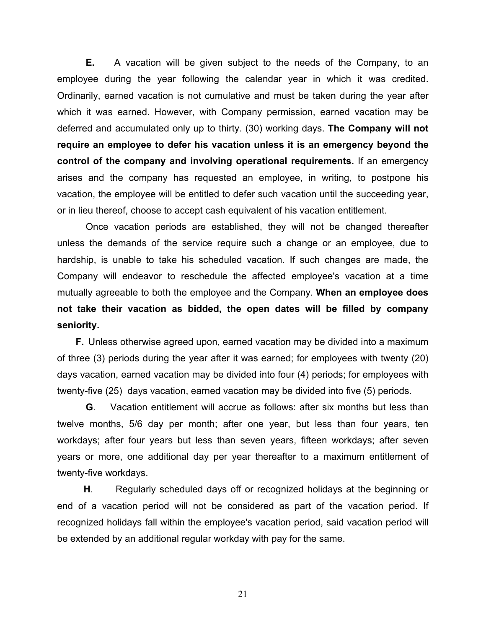**E.** A vacation will be given subject to the needs of the Company, to an employee during the year following the calendar year in which it was credited. Ordinarily, earned vacation is not cumulative and must be taken during the year after which it was earned. However, with Company permission, earned vacation may be deferred and accumulated only up to thirty. (30) working days. **The Company will not require an employee to defer his vacation unless it is an emergency beyond the control of the company and involving operational requirements.** If an emergency arises and the company has requested an employee, in writing, to postpone his vacation, the employee will be entitled to defer such vacation until the succeeding year, or in lieu thereof, choose to accept cash equivalent of his vacation entitlement.

Once vacation periods are established, they will not be changed thereafter unless the demands of the service require such a change or an employee, due to hardship, is unable to take his scheduled vacation. If such changes are made, the Company will endeavor to reschedule the affected employee's vacation at a time mutually agreeable to both the employee and the Company. **When an employee does not take their vacation as bidded, the open dates will be filled by company seniority.**

 **F.** Unless otherwise agreed upon, earned vacation may be divided into a maximum of three (3) periods during the year after it was earned; for employees with twenty (20) days vacation, earned vacation may be divided into four (4) periods; for employees with twenty-five (25) days vacation, earned vacation may be divided into five (5) periods.

**G**. Vacation entitlement will accrue as follows: after six months but less than twelve months, 5/6 day per month; after one year, but less than four years, ten workdays; after four years but less than seven years, fifteen workdays; after seven years or more, one additional day per year thereafter to a maximum entitlement of twenty-five workdays.

 **H**. Regularly scheduled days off or recognized holidays at the beginning or end of a vacation period will not be considered as part of the vacation period. If recognized holidays fall within the employee's vacation period, said vacation period will be extended by an additional regular workday with pay for the same.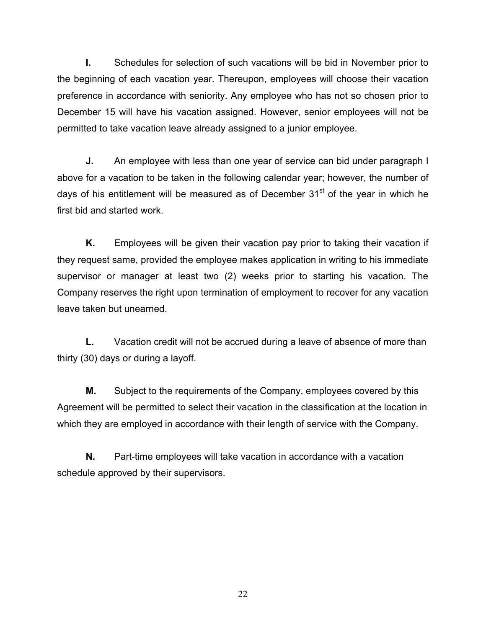**I.** Schedules for selection of such vacations will be bid in November prior to the beginning of each vacation year. Thereupon, employees will choose their vacation preference in accordance with seniority. Any employee who has not so chosen prior to December 15 will have his vacation assigned. However, senior employees will not be permitted to take vacation leave already assigned to a junior employee.

**J.** An employee with less than one year of service can bid under paragraph I above for a vacation to be taken in the following calendar year; however, the number of days of his entitlement will be measured as of December  $31<sup>st</sup>$  of the year in which he first bid and started work.

**K.** Employees will be given their vacation pay prior to taking their vacation if they request same, provided the employee makes application in writing to his immediate supervisor or manager at least two (2) weeks prior to starting his vacation. The Company reserves the right upon termination of employment to recover for any vacation leave taken but unearned.

**L.** Vacation credit will not be accrued during a leave of absence of more than thirty (30) days or during a layoff.

**M.** Subject to the requirements of the Company, employees covered by this Agreement will be permitted to select their vacation in the classification at the location in which they are employed in accordance with their length of service with the Company.

**N.** Part-time employees will take vacation in accordance with a vacation schedule approved by their supervisors.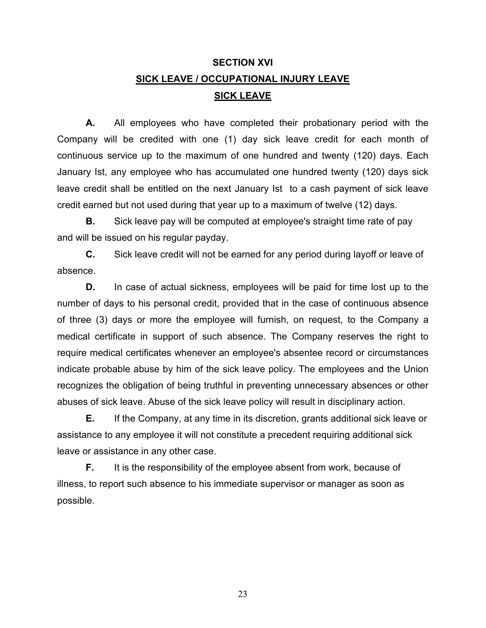# **SECTION XVI SICK LEAVE / OCCUPATIONAL INJURY LEAVE SICK LEAVE**

**A.** All employees who have completed their probationary period with the Company will be credited with one (1) day sick leave credit for each month of continuous service up to the maximum of one hundred and twenty (120) days. Each January Ist, any employee who has accumulated one hundred twenty (120) days sick leave credit shall be entitled on the next January Ist to a cash payment of sick leave credit earned but not used during that year up to a maximum of twelve (12) days.

**B.** Sick leave pay will be computed at employee's straight time rate of pay and will be issued on his regular payday.

**C.** Sick leave credit will not be earned for any period during layoff or leave of absence.

**D.** In case of actual sickness, employees will be paid for time lost up to the number of days to his personal credit, provided that in the case of continuous absence of three (3) days or more the employee will furnish, on request, to the Company a medical certificate in support of such absence. The Company reserves the right to require medical certificates whenever an employee's absentee record or circumstances indicate probable abuse by him of the sick leave policy. The employees and the Union recognizes the obligation of being truthful in preventing unnecessary absences or other abuses of sick leave. Abuse of the sick leave policy will result in disciplinary action.

**E.** If the Company, at any time in its discretion, grants additional sick leave or assistance to any employee it will not constitute a precedent requiring additional sick leave or assistance in any other case.

**F.** It is the responsibility of the employee absent from work, because of illness, to report such absence to his immediate supervisor or manager as soon as possible.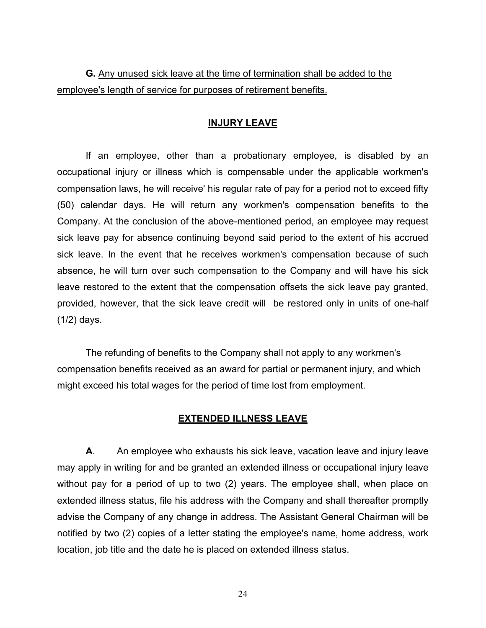**G.** Any unused sick leave at the time of termination shall be added to the employee's length of service for purposes of retirement benefits.

#### **INJURY LEAVE**

If an employee, other than a probationary employee, is disabled by an occupational injury or illness which is compensable under the applicable workmen's compensation laws, he will receive' his regular rate of pay for a period not to exceed fifty (50) calendar days. He will return any workmen's compensation benefits to the Company. At the conclusion of the above-mentioned period, an employee may request sick leave pay for absence continuing beyond said period to the extent of his accrued sick leave. In the event that he receives workmen's compensation because of such absence, he will turn over such compensation to the Company and will have his sick leave restored to the extent that the compensation offsets the sick leave pay granted, provided, however, that the sick leave credit will be restored only in units of one-half (1/2) days.

The refunding of benefits to the Company shall not apply to any workmen's compensation benefits received as an award for partial or permanent injury, and which might exceed his total wages for the period of time lost from employment.

#### **EXTENDED ILLNESS LEAVE**

**A**. An employee who exhausts his sick leave, vacation leave and injury leave may apply in writing for and be granted an extended illness or occupational injury leave without pay for a period of up to two (2) years. The employee shall, when place on extended illness status, file his address with the Company and shall thereafter promptly advise the Company of any change in address. The Assistant General Chairman will be notified by two (2) copies of a letter stating the employee's name, home address, work location, job title and the date he is placed on extended illness status.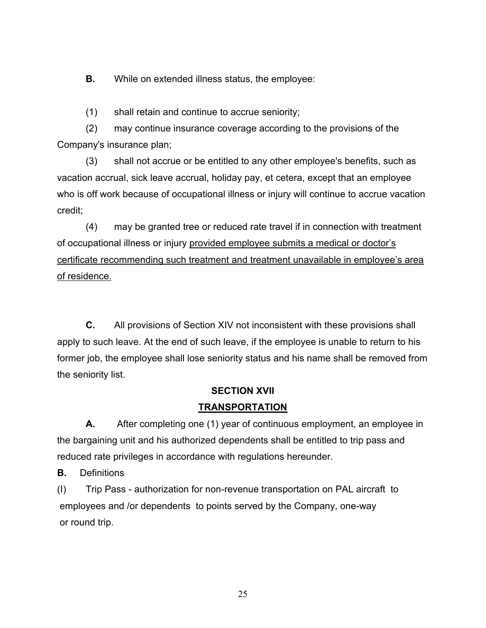**B.** While on extended illness status, the employee:

(1) shall retain and continue to accrue seniority;

(2) may continue insurance coverage according to the provisions of the Company's insurance plan;

(3) shall not accrue or be entitled to any other employee's benefits, such as vacation accrual, sick leave accrual, holiday pay, et cetera, except that an employee who is off work because of occupational illness or injury will continue to accrue vacation credit;

(4) may be granted tree or reduced rate travel if in connection with treatment of occupational illness or injury provided employee submits a medical or doctor's certificate recommending such treatment and treatment unavailable in employee's area of residence.

**C.** All provisions of Section XIV not inconsistent with these provisions shall apply to such leave. At the end of such leave, if the employee is unable to return to his former job, the employee shall lose seniority status and his name shall be removed from the seniority list.

## **SECTION XVII**

## **TRANSPORTATION**

**A.** After completing one (1) year of continuous employment, an employee in the bargaining unit and his authorized dependents shall be entitled to trip pass and reduced rate privileges in accordance with regulations hereunder.

**B.** Definitions

(I) Trip Pass - authorization for non-revenue transportation on PAL aircraft to employees and /or dependents to points served by the Company, one-way or round trip.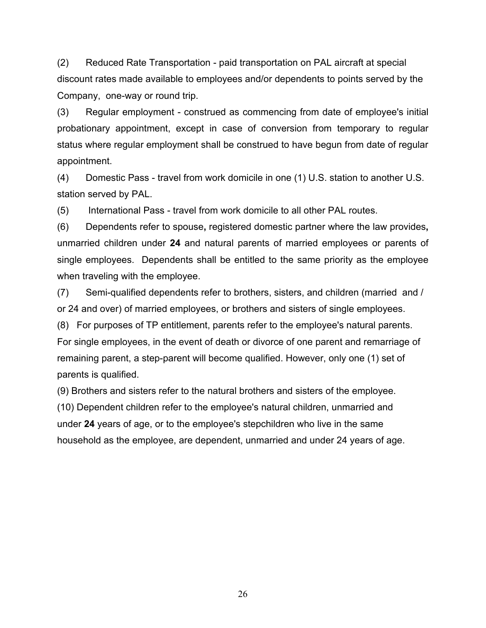(2) Reduced Rate Transportation - paid transportation on PAL aircraft at special discount rates made available to employees and/or dependents to points served by the Company, one-way or round trip.

(3) Regular employment - construed as commencing from date of employee's initial probationary appointment, except in case of conversion from temporary to regular status where regular employment shall be construed to have begun from date of regular appointment.

(4) Domestic Pass - travel from work domicile in one (1) U.S. station to another U.S. station served by PAL.

(5) International Pass - travel from work domicile to all other PAL routes.

(6) Dependents refer to spouse**,** registered domestic partner where the law provides**,**  unmarried children under **24** and natural parents of married employees or parents of single employees. Dependents shall be entitled to the same priority as the employee when traveling with the employee.

(7) Semi-qualified dependents refer to brothers, sisters, and children (married and / or 24 and over) of married employees, or brothers and sisters of single employees.

(8) For purposes of TP entitlement, parents refer to the employee's natural parents. For single employees, in the event of death or divorce of one parent and remarriage of remaining parent, a step-parent will become qualified. However, only one (1) set of parents is qualified.

(9) Brothers and sisters refer to the natural brothers and sisters of the employee.

(10) Dependent children refer to the employee's natural children, unmarried and under **24** years of age, or to the employee's stepchildren who live in the same household as the employee, are dependent, unmarried and under 24 years of age.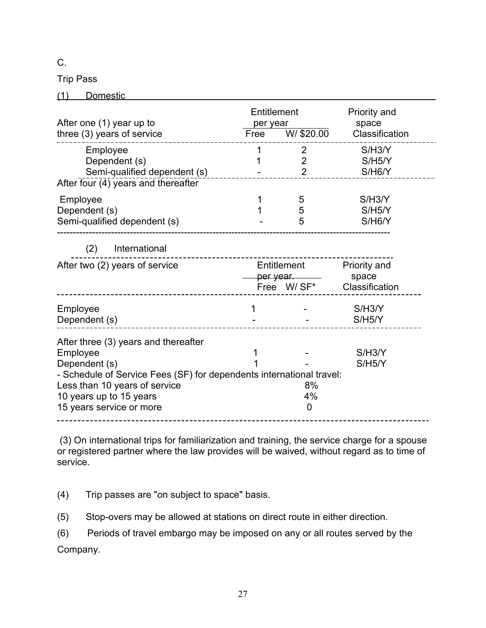C.

Trip Pass

(1) Domestic

| After one (1) year up to<br>three (3) years of service                                                                                                                                                                            | Entitlement<br>per year<br>Free | W/ \$20.00                            | Priority and<br>space<br>Classification            |
|-----------------------------------------------------------------------------------------------------------------------------------------------------------------------------------------------------------------------------------|---------------------------------|---------------------------------------|----------------------------------------------------|
| Employee<br>Dependent (s)<br>Semi-qualified dependent (s)<br>After four (4) years and thereafter                                                                                                                                  | 1                               | 2<br>$\overline{2}$<br>$\overline{2}$ | S/H3/Y<br>S/H5/Y<br>S/H6/Y                         |
| Employee<br>Dependent (s)<br>Semi-qualified dependent (s)                                                                                                                                                                         |                                 | 5<br>5<br>5                           | S/H3/Y<br>S/H5/Y<br>S/H6/Y                         |
| (2)<br>International                                                                                                                                                                                                              |                                 |                                       |                                                    |
| After two (2) years of service                                                                                                                                                                                                    |                                 | Entitlement<br>per year.              | Priority and<br>space<br>Free W/SF* Classification |
| Employee<br>Dependent (s)                                                                                                                                                                                                         | 1                               |                                       | S/H3/Y<br>S/H5/Y                                   |
| After three (3) years and thereafter<br>Employee<br>Dependent (s)<br>- Schedule of Service Fees (SF) for dependents international travel:<br>Less than 10 years of service<br>10 years up to 15 years<br>15 years service or more |                                 | 8%<br>4%<br>0                         | S/H3/Y<br>S/H5/Y                                   |

 (3) On international trips for familiarization and training, the service charge for a spouse or registered partner where the law provides will be waived, without regard as to time of service.

(4) Trip passes are "on subject to space" basis.

(5) Stop-overs may be allowed at stations on direct route in either direction.

(6) Periods of travel embargo may be imposed on any or all routes served by the Company.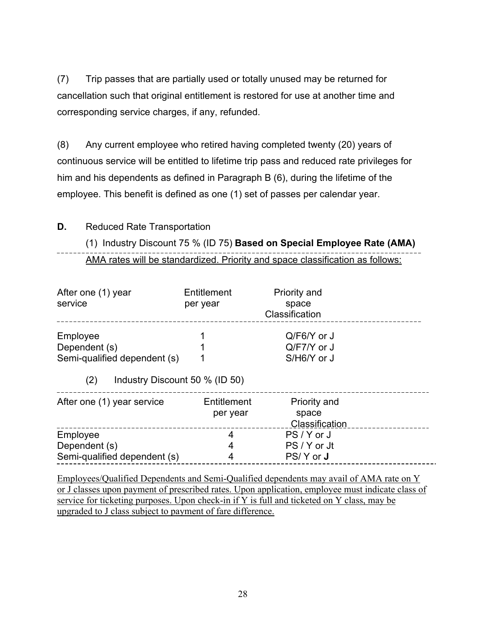(7) Trip passes that are partially used or totally unused may be returned for cancellation such that original entitlement is restored for use at another time and corresponding service charges, if any, refunded.

(8) Any current employee who retired having completed twenty (20) years of continuous service will be entitled to lifetime trip pass and reduced rate privileges for him and his dependents as defined in Paragraph B (6), during the lifetime of the employee. This benefit is defined as one (1) set of passes per calendar year.

## **D.** Reduced Rate Transportation

# (1) Industry Discount 75 % (ID 75) **Based on Special Employee Rate (AMA)** AMA rates will be standardized. Priority and space classification as follows:

| After one (1) year<br>service                             | Entitlement<br>per year | Priority and<br>space<br>Classification       |  |
|-----------------------------------------------------------|-------------------------|-----------------------------------------------|--|
| Employee<br>Dependent (s)<br>Semi-qualified dependent (s) |                         | $Q/F6/Y$ or J<br>$Q/F7/Y$ or J<br>S/H6/Y or J |  |
| (2)<br>Industry Discount 50 % (ID 50)                     |                         |                                               |  |
| After one (1) year service                                | Entitlement<br>per year | Priority and<br>space<br>Classification       |  |
| Employee                                                  | 4                       | PS/Y or J                                     |  |
| Dependent (s)<br>Semi-qualified dependent (s)             | 4<br>4                  | PS / Y or Jt<br>PS/Y or <b>J</b>              |  |

Employees/Qualified Dependents and Semi-Qualified dependents may avail of AMA rate on Y or J classes upon payment of prescribed rates. Upon application, employee must indicate class of service for ticketing purposes. Upon check-in if Y is full and ticketed on Y class, may be upgraded to J class subject to payment of fare difference.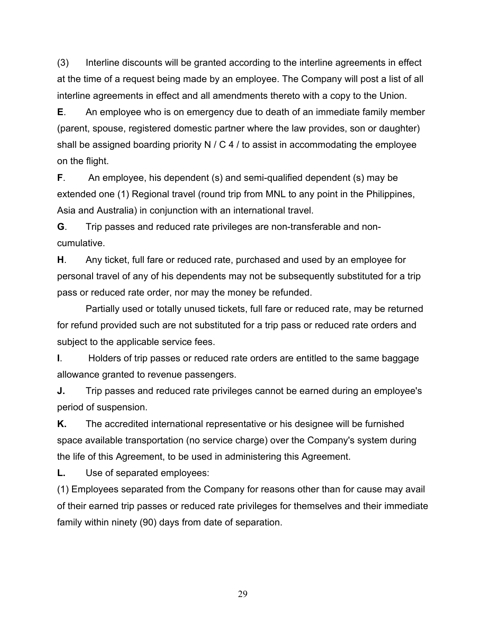(3) Interline discounts will be granted according to the interline agreements in effect at the time of a request being made by an employee. The Company will post a list of all interline agreements in effect and all amendments thereto with a copy to the Union.

**E**. An employee who is on emergency due to death of an immediate family member (parent, spouse, registered domestic partner where the law provides, son or daughter) shall be assigned boarding priority N  $\prime$  C 4  $\prime$  to assist in accommodating the employee on the flight.

**F**. An employee, his dependent (s) and semi-qualified dependent (s) may be extended one (1) Regional travel (round trip from MNL to any point in the Philippines, Asia and Australia) in conjunction with an international travel.

**G**. Trip passes and reduced rate privileges are non-transferable and noncumulative.

**H**. Any ticket, full fare or reduced rate, purchased and used by an employee for personal travel of any of his dependents may not be subsequently substituted for a trip pass or reduced rate order, nor may the money be refunded.

Partially used or totally unused tickets, full fare or reduced rate, may be returned for refund provided such are not substituted for a trip pass or reduced rate orders and subject to the applicable service fees.

**I**. Holders of trip passes or reduced rate orders are entitled to the same baggage allowance granted to revenue passengers.

**J.** Trip passes and reduced rate privileges cannot be earned during an employee's period of suspension.

**K.** The accredited international representative or his designee will be furnished space available transportation (no service charge) over the Company's system during the life of this Agreement, to be used in administering this Agreement.

**L.** Use of separated employees:

(1) Employees separated from the Company for reasons other than for cause may avail of their earned trip passes or reduced rate privileges for themselves and their immediate family within ninety (90) days from date of separation.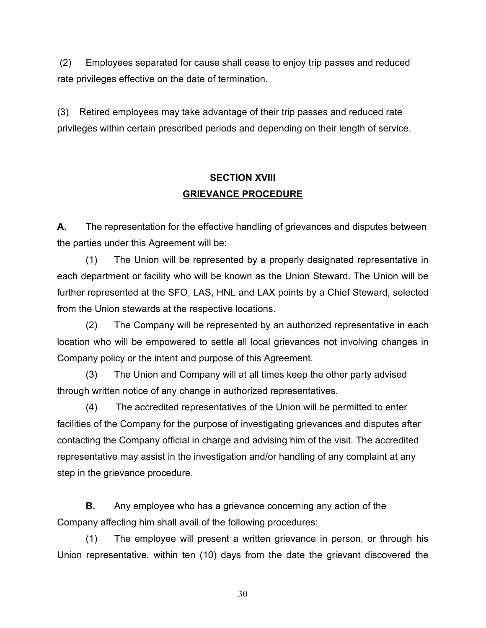(2) Employees separated for cause shall cease to enjoy trip passes and reduced rate privileges effective on the date of termination.

(3) Retired employees may take advantage of their trip passes and reduced rate privileges within certain prescribed periods and depending on their length of service.

# **SECTION XVIII GRIEVANCE PROCEDURE**

**A.** The representation for the effective handling of grievances and disputes between the parties under this Agreement will be:

(1) The Union will be represented by a properly designated representative in each department or facility who will be known as the Union Steward. The Union will be further represented at the SFO, LAS, HNL and LAX points by a Chief Steward, selected from the Union stewards at the respective locations.

(2) The Company will be represented by an authorized representative in each location who will be empowered to settle all local grievances not involving changes in Company policy or the intent and purpose of this Agreement.

(3) The Union and Company will at all times keep the other party advised through written notice of any change in authorized representatives.

(4) The accredited representatives of the Union will be permitted to enter facilities of the Company for the purpose of investigating grievances and disputes after contacting the Company official in charge and advising him of the visit. The accredited representative may assist in the investigation and/or handling of any complaint at any step in the grievance procedure.

**B.** Any employee who has a grievance concerning any action of the Company affecting him shall avail of the following procedures:

(1) The employee will present a written grievance in person, or through his Union representative, within ten (10) days from the date the grievant discovered the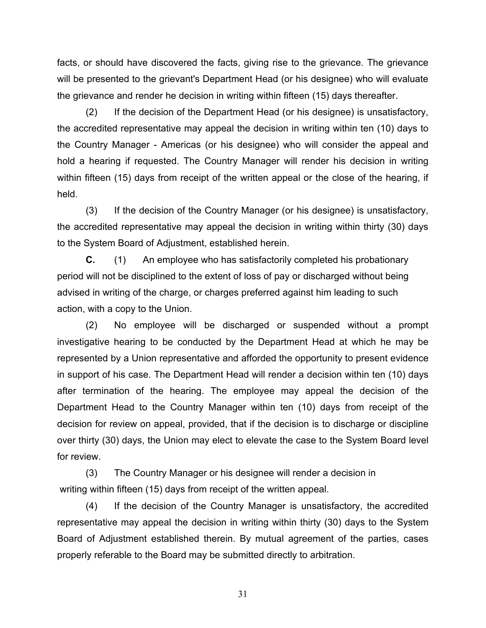facts, or should have discovered the facts, giving rise to the grievance. The grievance will be presented to the grievant's Department Head (or his designee) who will evaluate the grievance and render he decision in writing within fifteen (15) days thereafter.

(2) If the decision of the Department Head (or his designee) is unsatisfactory, the accredited representative may appeal the decision in writing within ten (10) days to the Country Manager - Americas (or his designee) who will consider the appeal and hold a hearing if requested. The Country Manager will render his decision in writing within fifteen (15) days from receipt of the written appeal or the close of the hearing, if held.

(3) If the decision of the Country Manager (or his designee) is unsatisfactory, the accredited representative may appeal the decision in writing within thirty (30) days to the System Board of Adjustment, established herein.

**C.** (1) An employee who has satisfactorily completed his probationary period will not be disciplined to the extent of loss of pay or discharged without being advised in writing of the charge, or charges preferred against him leading to such action, with a copy to the Union.

(2) No employee will be discharged or suspended without a prompt investigative hearing to be conducted by the Department Head at which he may be represented by a Union representative and afforded the opportunity to present evidence in support of his case. The Department Head will render a decision within ten (10) days after termination of the hearing. The employee may appeal the decision of the Department Head to the Country Manager within ten (10) days from receipt of the decision for review on appeal, provided, that if the decision is to discharge or discipline over thirty (30) days, the Union may elect to elevate the case to the System Board level for review.

(3) The Country Manager or his designee will render a decision in writing within fifteen (15) days from receipt of the written appeal.

(4) If the decision of the Country Manager is unsatisfactory, the accredited representative may appeal the decision in writing within thirty (30) days to the System Board of Adjustment established therein. By mutual agreement of the parties, cases properly referable to the Board may be submitted directly to arbitration.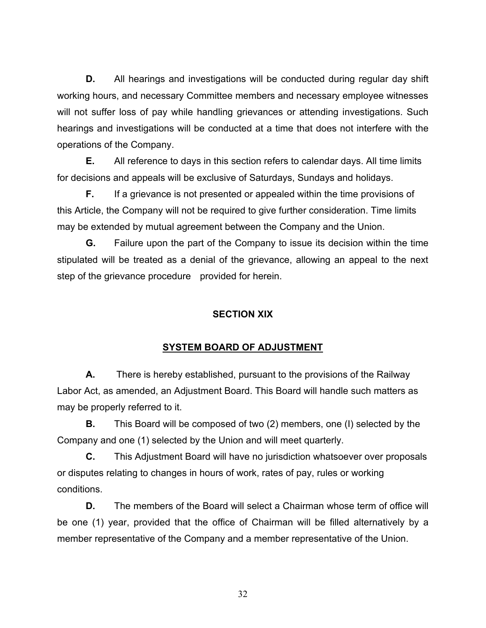**D.** All hearings and investigations will be conducted during regular day shift working hours, and necessary Committee members and necessary employee witnesses will not suffer loss of pay while handling grievances or attending investigations. Such hearings and investigations will be conducted at a time that does not interfere with the operations of the Company.

**E.** All reference to days in this section refers to calendar days. All time limits for decisions and appeals will be exclusive of Saturdays, Sundays and holidays.

**F.** If a grievance is not presented or appealed within the time provisions of this Article, the Company will not be required to give further consideration. Time limits may be extended by mutual agreement between the Company and the Union.

**G.** Failure upon the part of the Company to issue its decision within the time stipulated will be treated as a denial of the grievance, allowing an appeal to the next step of the grievance procedure provided for herein.

## **SECTION XIX**

# **SYSTEM BOARD OF ADJUSTMENT**

**A.** There is hereby established, pursuant to the provisions of the Railway Labor Act, as amended, an Adjustment Board. This Board will handle such matters as may be properly referred to it.

**B.** This Board will be composed of two (2) members, one (I) selected by the Company and one (1) selected by the Union and will meet quarterly.

**C.** This Adjustment Board will have no jurisdiction whatsoever over proposals or disputes relating to changes in hours of work, rates of pay, rules or working conditions.

**D.** The members of the Board will select a Chairman whose term of office will be one (1) year, provided that the office of Chairman will be filled alternatively by a member representative of the Company and a member representative of the Union.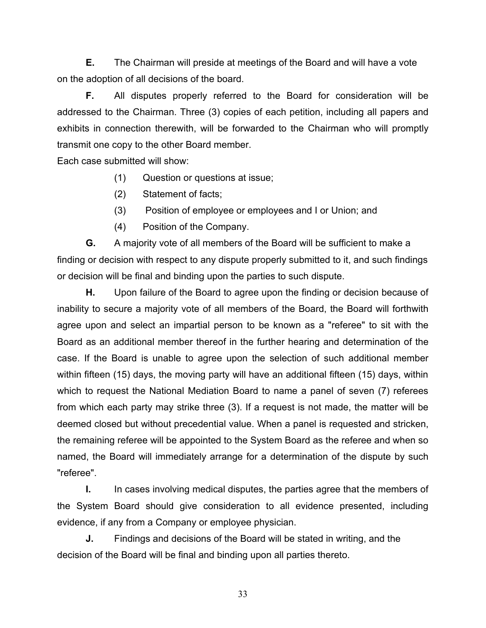**E.** The Chairman will preside at meetings of the Board and will have a vote on the adoption of all decisions of the board.

**F.** All disputes properly referred to the Board for consideration will be addressed to the Chairman. Three (3) copies of each petition, including all papers and exhibits in connection therewith, will be forwarded to the Chairman who will promptly transmit one copy to the other Board member.

Each case submitted will show:

- (1) Question or questions at issue;
- (2) Statement of facts;
- (3) Position of employee or employees and I or Union; and
- (4) Position of the Company.

**G.** A majority vote of all members of the Board will be sufficient to make a finding or decision with respect to any dispute properly submitted to it, and such findings or decision will be final and binding upon the parties to such dispute.

**H.** Upon failure of the Board to agree upon the finding or decision because of inability to secure a majority vote of all members of the Board, the Board will forthwith agree upon and select an impartial person to be known as a "referee" to sit with the Board as an additional member thereof in the further hearing and determination of the case. If the Board is unable to agree upon the selection of such additional member within fifteen (15) days, the moving party will have an additional fifteen (15) days, within which to request the National Mediation Board to name a panel of seven (7) referees from which each party may strike three (3). If a request is not made, the matter will be deemed closed but without precedential value. When a panel is requested and stricken, the remaining referee will be appointed to the System Board as the referee and when so named, the Board will immediately arrange for a determination of the dispute by such "referee".

**I.** In cases involving medical disputes, the parties agree that the members of the System Board should give consideration to all evidence presented, including evidence, if any from a Company or employee physician.

**J.** Findings and decisions of the Board will be stated in writing, and the decision of the Board will be final and binding upon all parties thereto.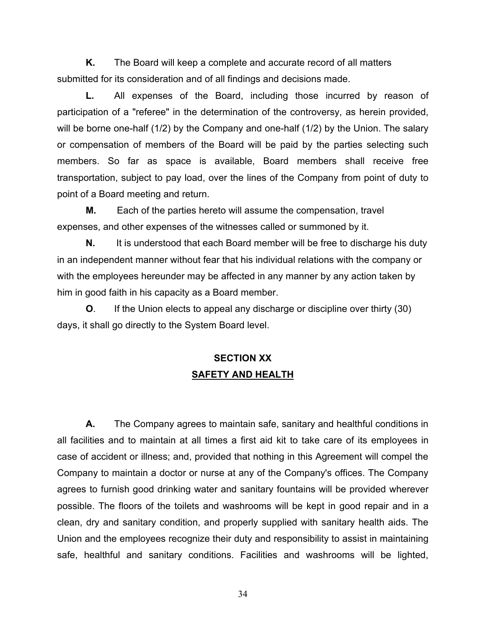**K.** The Board will keep a complete and accurate record of all matters submitted for its consideration and of all findings and decisions made.

**L.** All expenses of the Board, including those incurred by reason of participation of a "referee" in the determination of the controversy, as herein provided, will be borne one-half (1/2) by the Company and one-half (1/2) by the Union. The salary or compensation of members of the Board will be paid by the parties selecting such members. So far as space is available, Board members shall receive free transportation, subject to pay load, over the lines of the Company from point of duty to point of a Board meeting and return.

**M.** Each of the parties hereto will assume the compensation, travel expenses, and other expenses of the witnesses called or summoned by it.

**N.** It is understood that each Board member will be free to discharge his duty in an independent manner without fear that his individual relations with the company or with the employees hereunder may be affected in any manner by any action taken by him in good faith in his capacity as a Board member.

**O**. If the Union elects to appeal any discharge or discipline over thirty (30) days, it shall go directly to the System Board level.

# **SECTION XX SAFETY AND HEALTH**

**A.** The Company agrees to maintain safe, sanitary and healthful conditions in all facilities and to maintain at all times a first aid kit to take care of its employees in case of accident or illness; and, provided that nothing in this Agreement will compel the Company to maintain a doctor or nurse at any of the Company's offices. The Company agrees to furnish good drinking water and sanitary fountains will be provided wherever possible. The floors of the toilets and washrooms will be kept in good repair and in a clean, dry and sanitary condition, and properly supplied with sanitary health aids. The Union and the employees recognize their duty and responsibility to assist in maintaining safe, healthful and sanitary conditions. Facilities and washrooms will be lighted,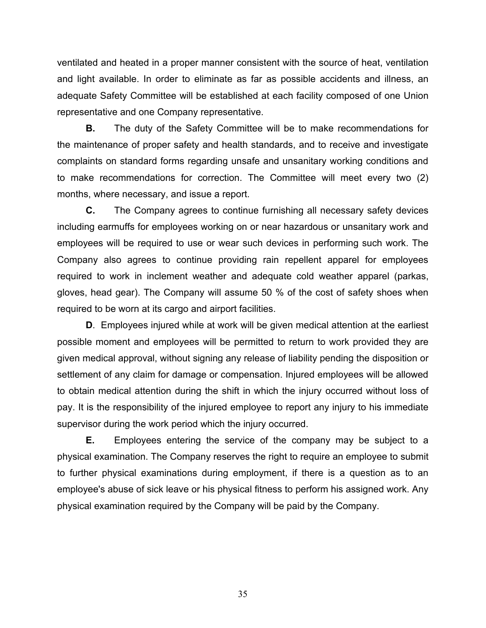ventilated and heated in a proper manner consistent with the source of heat, ventilation and light available. In order to eliminate as far as possible accidents and illness, an adequate Safety Committee will be established at each facility composed of one Union representative and one Company representative.

**B.** The duty of the Safety Committee will be to make recommendations for the maintenance of proper safety and health standards, and to receive and investigate complaints on standard forms regarding unsafe and unsanitary working conditions and to make recommendations for correction. The Committee will meet every two (2) months, where necessary, and issue a report.

**C.** The Company agrees to continue furnishing all necessary safety devices including earmuffs for employees working on or near hazardous or unsanitary work and employees will be required to use or wear such devices in performing such work. The Company also agrees to continue providing rain repellent apparel for employees required to work in inclement weather and adequate cold weather apparel (parkas, gloves, head gear). The Company will assume 50 % of the cost of safety shoes when required to be worn at its cargo and airport facilities.

**D**. Employees injured while at work will be given medical attention at the earliest possible moment and employees will be permitted to return to work provided they are given medical approval, without signing any release of liability pending the disposition or settlement of any claim for damage or compensation. Injured employees will be allowed to obtain medical attention during the shift in which the injury occurred without loss of pay. It is the responsibility of the injured employee to report any injury to his immediate supervisor during the work period which the injury occurred.

**E.** Employees entering the service of the company may be subject to a physical examination. The Company reserves the right to require an employee to submit to further physical examinations during employment, if there is a question as to an employee's abuse of sick leave or his physical fitness to perform his assigned work. Any physical examination required by the Company will be paid by the Company.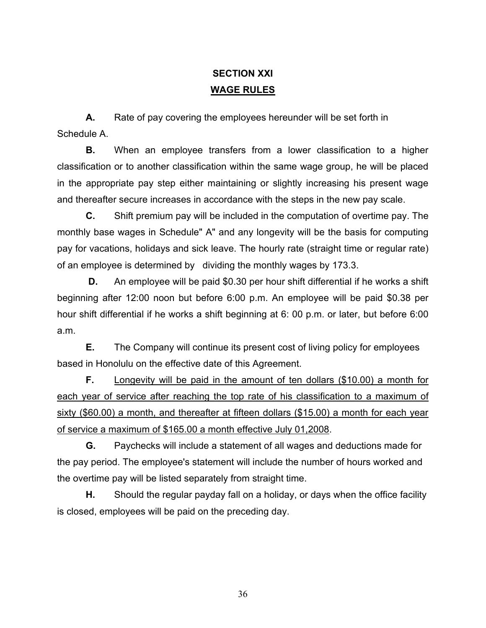# **SECTION XXI WAGE RULES**

**A.** Rate of pay covering the employees hereunder will be set forth in Schedule A.

**B.** When an employee transfers from a lower classification to a higher classification or to another classification within the same wage group, he will be placed in the appropriate pay step either maintaining or slightly increasing his present wage and thereafter secure increases in accordance with the steps in the new pay scale.

**C.** Shift premium pay will be included in the computation of overtime pay. The monthly base wages in Schedule" A" and any longevity will be the basis for computing pay for vacations, holidays and sick leave. The hourly rate (straight time or regular rate) of an employee is determined by dividing the monthly wages by 173.3.

**D.** An employee will be paid \$0.30 per hour shift differential if he works a shift beginning after 12:00 noon but before 6:00 p.m. An employee will be paid \$0.38 per hour shift differential if he works a shift beginning at 6: 00 p.m. or later, but before 6:00 a.m.

**E.** The Company will continue its present cost of living policy for employees based in Honolulu on the effective date of this Agreement.

**F.** Longevity will be paid in the amount of ten dollars (\$10.00) a month for each year of service after reaching the top rate of his classification to a maximum of sixty (\$60.00) a month, and thereafter at fifteen dollars (\$15.00) a month for each year of service a maximum of \$165.00 a month effective July 01,2008.

**G.** Paychecks will include a statement of all wages and deductions made for the pay period. The employee's statement will include the number of hours worked and the overtime pay will be listed separately from straight time.

**H.** Should the regular payday fall on a holiday, or days when the office facility is closed, employees will be paid on the preceding day.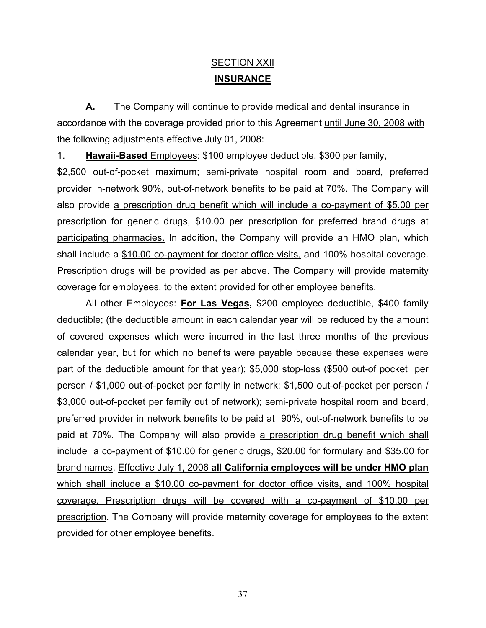# SECTION XXII **INSURANCE**

**A.** The Company will continue to provide medical and dental insurance in accordance with the coverage provided prior to this Agreement until June 30, 2008 with the following adjustments effective July 01, 2008:

1. **Hawaii-Based** Employees: \$100 employee deductible, \$300 per family,

\$2,500 out-of-pocket maximum; semi-private hospital room and board, preferred provider in-network 90%, out-of-network benefits to be paid at 70%. The Company will also provide a prescription drug benefit which will include a co-payment of \$5.00 per prescription for generic drugs, \$10.00 per prescription for preferred brand drugs at participating pharmacies. In addition, the Company will provide an HMO plan, which shall include a \$10.00 co-payment for doctor office visits, and 100% hospital coverage. Prescription drugs will be provided as per above. The Company will provide maternity coverage for employees, to the extent provided for other employee benefits.

All other Employees: **For Las Vegas,** \$200 employee deductible, \$400 family deductible; (the deductible amount in each calendar year will be reduced by the amount of covered expenses which were incurred in the last three months of the previous calendar year, but for which no benefits were payable because these expenses were part of the deductible amount for that year); \$5,000 stop-loss (\$500 out-of pocket per person / \$1,000 out-of-pocket per family in network; \$1,500 out-of-pocket per person / \$3,000 out-of-pocket per family out of network); semi-private hospital room and board, preferred provider in network benefits to be paid at 90%, out-of-network benefits to be paid at 70%. The Company will also provide a prescription drug benefit which shall include a co-payment of \$10.00 for generic drugs, \$20.00 for formulary and \$35.00 for brand names. Effective July 1, 2006 **all California employees will be under HMO plan** which shall include a \$10.00 co-payment for doctor office visits, and 100% hospital coverage. Prescription drugs will be covered with a co-payment of \$10.00 per prescription. The Company will provide maternity coverage for employees to the extent provided for other employee benefits.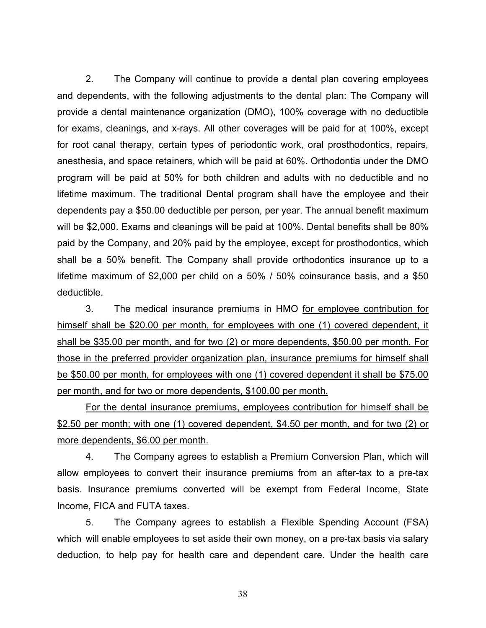2. The Company will continue to provide a dental plan covering employees and dependents, with the following adjustments to the dental plan: The Company will provide a dental maintenance organization (DMO), 100% coverage with no deductible for exams, cleanings, and x-rays. All other coverages will be paid for at 100%, except for root canal therapy, certain types of periodontic work, oral prosthodontics, repairs, anesthesia, and space retainers, which will be paid at 60%. Orthodontia under the DMO program will be paid at 50% for both children and adults with no deductible and no lifetime maximum. The traditional Dental program shall have the employee and their dependents pay a \$50.00 deductible per person, per year. The annual benefit maximum will be \$2,000. Exams and cleanings will be paid at 100%. Dental benefits shall be 80% paid by the Company, and 20% paid by the employee, except for prosthodontics, which shall be a 50% benefit. The Company shall provide orthodontics insurance up to a lifetime maximum of \$2,000 per child on a 50% / 50% coinsurance basis, and a \$50 deductible.

3. The medical insurance premiums in HMO for employee contribution for himself shall be \$20.00 per month, for employees with one (1) covered dependent, it shall be \$35.00 per month, and for two (2) or more dependents, \$50.00 per month. For those in the preferred provider organization plan, insurance premiums for himself shall be \$50.00 per month, for employees with one (1) covered dependent it shall be \$75.00 per month, and for two or more dependents, \$100.00 per month.

For the dental insurance premiums, employees contribution for himself shall be \$2.50 per month; with one (1) covered dependent, \$4.50 per month, and for two (2) or more dependents, \$6.00 per month.

4. The Company agrees to establish a Premium Conversion Plan, which will allow employees to convert their insurance premiums from an after-tax to a pre-tax basis. Insurance premiums converted will be exempt from Federal Income, State Income, FICA and FUTA taxes.

5. The Company agrees to establish a Flexible Spending Account (FSA) which will enable employees to set aside their own money, on a pre-tax basis via salary deduction, to help pay for health care and dependent care. Under the health care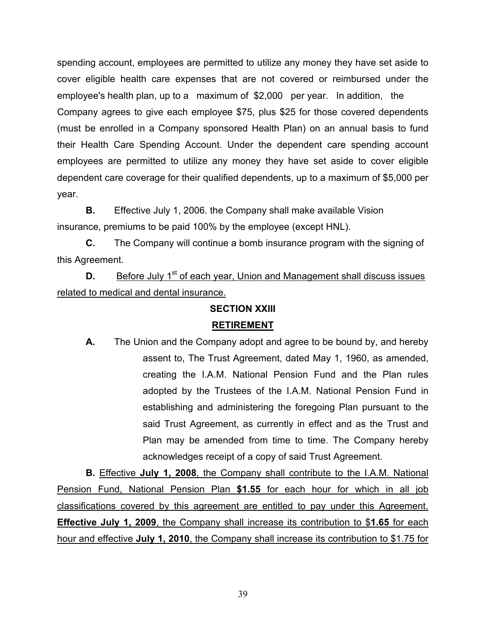spending account, employees are permitted to utilize any money they have set aside to cover eligible health care expenses that are not covered or reimbursed under the employee's health plan, up to a maximum of \$2,000 per year. In addition, the Company agrees to give each employee \$75, plus \$25 for those covered dependents (must be enrolled in a Company sponsored Health Plan) on an annual basis to fund their Health Care Spending Account. Under the dependent care spending account employees are permitted to utilize any money they have set aside to cover eligible dependent care coverage for their qualified dependents, up to a maximum of \$5,000 per year.

**B.** Effective July 1, 2006. the Company shall make available Vision insurance, premiums to be paid 100% by the employee (except HNL).

**C.** The Company will continue a bomb insurance program with the signing of this Agreement.

**D.** Before July 1<sup>st</sup> of each year, Union and Management shall discuss issues related to medical and dental insurance.

## **SECTION XXIII**

## **RETIREMENT**

**A.** The Union and the Company adopt and agree to be bound by, and hereby assent to, The Trust Agreement, dated May 1, 1960, as amended, creating the I.A.M. National Pension Fund and the Plan rules adopted by the Trustees of the I.A.M. National Pension Fund in establishing and administering the foregoing Plan pursuant to the said Trust Agreement, as currently in effect and as the Trust and Plan may be amended from time to time. The Company hereby acknowledges receipt of a copy of said Trust Agreement.

**B.** Effective **July 1, 2008**, the Company shall contribute to the I.A.M. National Pension Fund, National Pension Plan **\$1.55** for each hour for which in all job classifications covered by this agreement are entitled to pay under this Agreement. **Effective July 1, 2009**, the Company shall increase its contribution to \$**1.65** for each hour and effective **July 1, 2010**, the Company shall increase its contribution to \$1.75 for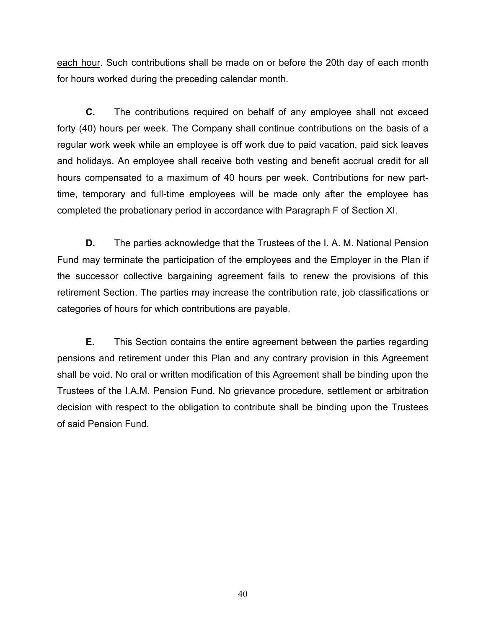each hour. Such contributions shall be made on or before the 20th day of each month for hours worked during the preceding calendar month.

**C.** The contributions required on behalf of any employee shall not exceed forty (40) hours per week. The Company shall continue contributions on the basis of a regular work week while an employee is off work due to paid vacation, paid sick leaves and holidays. An employee shall receive both vesting and benefit accrual credit for all hours compensated to a maximum of 40 hours per week. Contributions for new parttime, temporary and full-time employees will be made only after the employee has completed the probationary period in accordance with Paragraph F of Section XI.

**D.** The parties acknowledge that the Trustees of the I. A. M. National Pension Fund may terminate the participation of the employees and the Employer in the Plan if the successor collective bargaining agreement fails to renew the provisions of this retirement Section. The parties may increase the contribution rate, job classifications or categories of hours for which contributions are payable.

**E.** This Section contains the entire agreement between the parties regarding pensions and retirement under this Plan and any contrary provision in this Agreement shall be void. No oral or written modification of this Agreement shall be binding upon the Trustees of the I.A.M. Pension Fund. No grievance procedure, settlement or arbitration decision with respect to the obligation to contribute shall be binding upon the Trustees of said Pension Fund.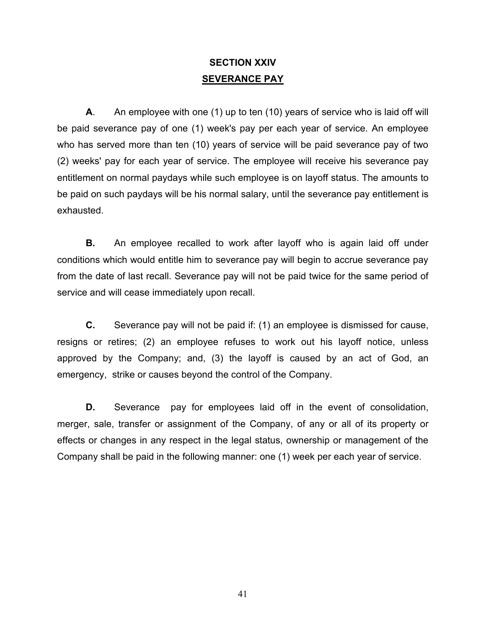# **SECTION XXIV SEVERANCE PAY**

**A**. An employee with one (1) up to ten (10) years of service who is laid off will be paid severance pay of one (1) week's pay per each year of service. An employee who has served more than ten (10) years of service will be paid severance pay of two (2) weeks' pay for each year of service. The employee will receive his severance pay entitlement on normal paydays while such employee is on layoff status. The amounts to be paid on such paydays will be his normal salary, until the severance pay entitlement is exhausted.

**B.** An employee recalled to work after layoff who is again laid off under conditions which would entitle him to severance pay will begin to accrue severance pay from the date of last recall. Severance pay will not be paid twice for the same period of service and will cease immediately upon recall.

**C.** Severance pay will not be paid if: (1) an employee is dismissed for cause, resigns or retires; (2) an employee refuses to work out his layoff notice, unless approved by the Company; and, (3) the layoff is caused by an act of God, an emergency, strike or causes beyond the control of the Company.

**D.** Severance pay for employees laid off in the event of consolidation, merger, sale, transfer or assignment of the Company, of any or all of its property or effects or changes in any respect in the legal status, ownership or management of the Company shall be paid in the following manner: one (1) week per each year of service.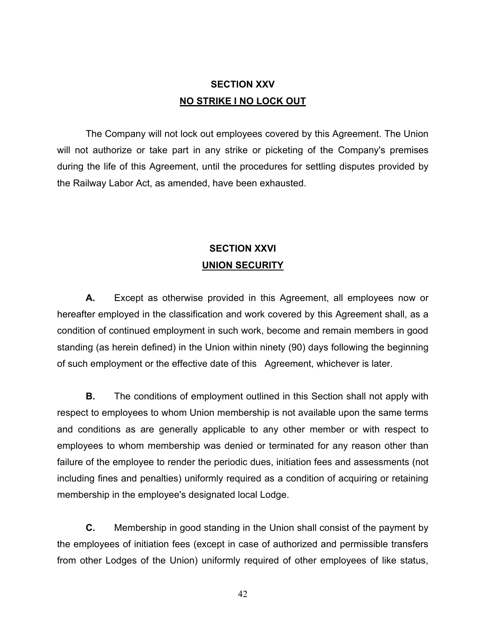# **SECTION XXV NO STRIKE I NO LOCK OUT**

The Company will not lock out employees covered by this Agreement. The Union will not authorize or take part in any strike or picketing of the Company's premises during the life of this Agreement, until the procedures for settling disputes provided by the Railway Labor Act, as amended, have been exhausted.

# **SECTION XXVI UNION SECURITY**

**A.** Except as otherwise provided in this Agreement, all employees now or hereafter employed in the classification and work covered by this Agreement shall, as a condition of continued employment in such work, become and remain members in good standing (as herein defined) in the Union within ninety (90) days following the beginning of such employment or the effective date of this Agreement, whichever is later.

**B.** The conditions of employment outlined in this Section shall not apply with respect to employees to whom Union membership is not available upon the same terms and conditions as are generally applicable to any other member or with respect to employees to whom membership was denied or terminated for any reason other than failure of the employee to render the periodic dues, initiation fees and assessments (not including fines and penalties) uniformly required as a condition of acquiring or retaining membership in the employee's designated local Lodge.

**C.** Membership in good standing in the Union shall consist of the payment by the employees of initiation fees (except in case of authorized and permissible transfers from other Lodges of the Union) uniformly required of other employees of like status,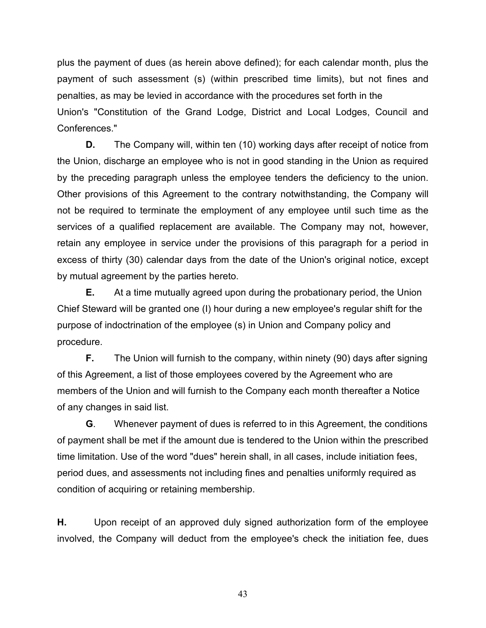plus the payment of dues (as herein above defined); for each calendar month, plus the payment of such assessment (s) (within prescribed time limits), but not fines and penalties, as may be levied in accordance with the procedures set forth in the Union's "Constitution of the Grand Lodge, District and Local Lodges, Council and Conferences."

**D.** The Company will, within ten (10) working days after receipt of notice from the Union, discharge an employee who is not in good standing in the Union as required by the preceding paragraph unless the employee tenders the deficiency to the union. Other provisions of this Agreement to the contrary notwithstanding, the Company will not be required to terminate the employment of any employee until such time as the services of a qualified replacement are available. The Company may not, however, retain any employee in service under the provisions of this paragraph for a period in excess of thirty (30) calendar days from the date of the Union's original notice, except by mutual agreement by the parties hereto.

**E.** At a time mutually agreed upon during the probationary period, the Union Chief Steward will be granted one (I) hour during a new employee's regular shift for the purpose of indoctrination of the employee (s) in Union and Company policy and procedure.

**F.** The Union will furnish to the company, within ninety (90) days after signing of this Agreement, a list of those employees covered by the Agreement who are members of the Union and will furnish to the Company each month thereafter a Notice of any changes in said list.

**G**. Whenever payment of dues is referred to in this Agreement, the conditions of payment shall be met if the amount due is tendered to the Union within the prescribed time limitation. Use of the word "dues" herein shall, in all cases, include initiation fees, period dues, and assessments not including fines and penalties uniformly required as condition of acquiring or retaining membership.

**H.** Upon receipt of an approved duly signed authorization form of the employee involved, the Company will deduct from the employee's check the initiation fee, dues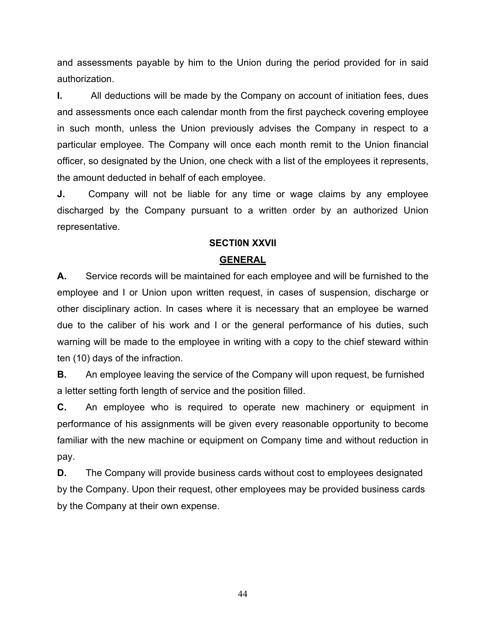and assessments payable by him to the Union during the period provided for in said authorization.

**I.** All deductions will be made by the Company on account of initiation fees, dues and assessments once each calendar month from the first paycheck covering employee in such month, unless the Union previously advises the Company in respect to a particular employee. The Company will once each month remit to the Union financial officer, so designated by the Union, one check with a list of the employees it represents, the amount deducted in behalf of each employee.

**J.** Company will not be liable for any time or wage claims by any employee discharged by the Company pursuant to a written order by an authorized Union representative.

# **SECTI0N XXVII**

## **GENERAL**

**A.** Service records will be maintained for each employee and will be furnished to the employee and I or Union upon written request, in cases of suspension, discharge or other disciplinary action. In cases where it is necessary that an employee be warned due to the caliber of his work and I or the general performance of his duties, such warning will be made to the employee in writing with a copy to the chief steward within ten (10) days of the infraction.

**B.** An employee leaving the service of the Company will upon request, be furnished a letter setting forth length of service and the position filled.

**C.** An employee who is required to operate new machinery or equipment in performance of his assignments will be given every reasonable opportunity to become familiar with the new machine or equipment on Company time and without reduction in pay.

**D.** The Company will provide business cards without cost to employees designated by the Company. Upon their request, other employees may be provided business cards by the Company at their own expense.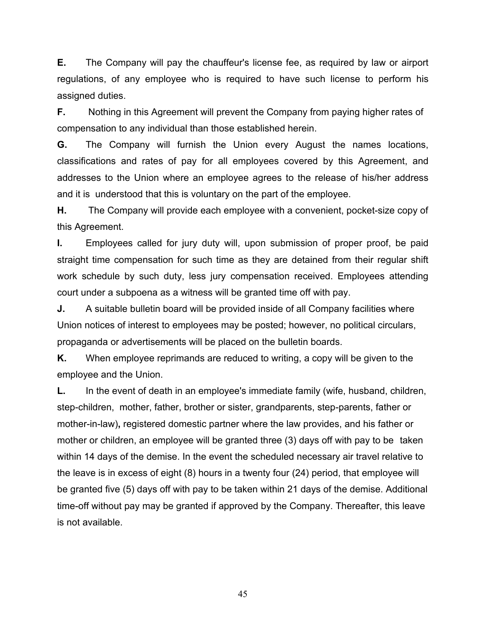**E.** The Company will pay the chauffeur's license fee, as required by law or airport regulations, of any employee who is required to have such license to perform his assigned duties.

**F.** Nothing in this Agreement will prevent the Company from paying higher rates of compensation to any individual than those established herein.

**G.** The Company will furnish the Union every August the names locations, classifications and rates of pay for all employees covered by this Agreement, and addresses to the Union where an employee agrees to the release of his/her address and it is understood that this is voluntary on the part of the employee.

**H.** The Company will provide each employee with a convenient, pocket-size copy of this Agreement.

**I.** Employees called for jury duty will, upon submission of proper proof, be paid straight time compensation for such time as they are detained from their regular shift work schedule by such duty, less jury compensation received. Employees attending court under a subpoena as a witness will be granted time off with pay.

**J.** A suitable bulletin board will be provided inside of all Company facilities where Union notices of interest to employees may be posted; however, no political circulars, propaganda or advertisements will be placed on the bulletin boards.

**K.** When employee reprimands are reduced to writing, a copy will be given to the employee and the Union.

**L.** In the event of death in an employee's immediate family (wife, husband, children, step-children, mother, father, brother or sister, grandparents, step-parents, father or mother-in-law)**,** registered domestic partner where the law provides, and his father or mother or children, an employee will be granted three (3) days off with pay to be taken within 14 days of the demise. In the event the scheduled necessary air travel relative to the leave is in excess of eight (8) hours in a twenty four (24) period, that employee will be granted five (5) days off with pay to be taken within 21 days of the demise. Additional time-off without pay may be granted if approved by the Company. Thereafter, this leave is not available.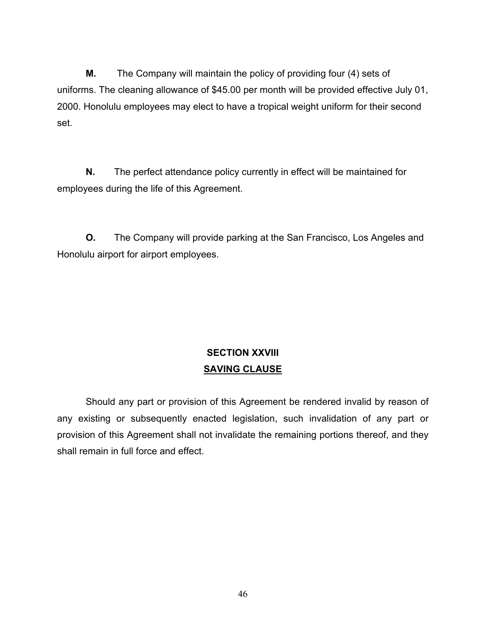**M.** The Company will maintain the policy of providing four (4) sets of uniforms. The cleaning allowance of \$45.00 per month will be provided effective July 01, 2000. Honolulu employees may elect to have a tropical weight uniform for their second set.

**N.** The perfect attendance policy currently in effect will be maintained for employees during the life of this Agreement.

**O.** The Company will provide parking at the San Francisco, Los Angeles and Honolulu airport for airport employees.

# **SECTION XXVIII SAVING CLAUSE**

Should any part or provision of this Agreement be rendered invalid by reason of any existing or subsequently enacted legislation, such invalidation of any part or provision of this Agreement shall not invalidate the remaining portions thereof, and they shall remain in full force and effect.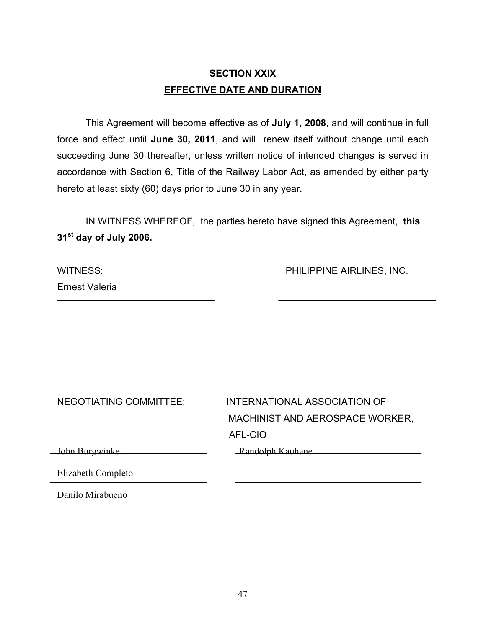# **SECTION XXIX EFFECTIVE DATE AND DURATION**

This Agreement will become effective as of **July 1, 2008**, and will continue in full force and effect until **June 30, 2011**, and will renew itself without change until each succeeding June 30 thereafter, unless written notice of intended changes is served in accordance with Section 6, Title of the Railway Labor Act, as amended by either party hereto at least sixty (60) days prior to June 30 in any year.

IN WITNESS WHEREOF, the parties hereto have signed this Agreement, **this 31st day of July 2006.**

| WITNESS: |                |
|----------|----------------|
|          | Ernest Valeria |

PHILIPPINE AIRLINES, INC.

| NEGOTIATING COMMITTEE: | INTERNATIONAL ASSOCIATION OF    |
|------------------------|---------------------------------|
|                        | MACHINIST AND AEROSPACE WORKER, |
|                        | AFL-CIO                         |
| John Burgwinkel        | Randolph Kauhane                |
| Elizabeth Completo     |                                 |
| Danilo Mirabueno       |                                 |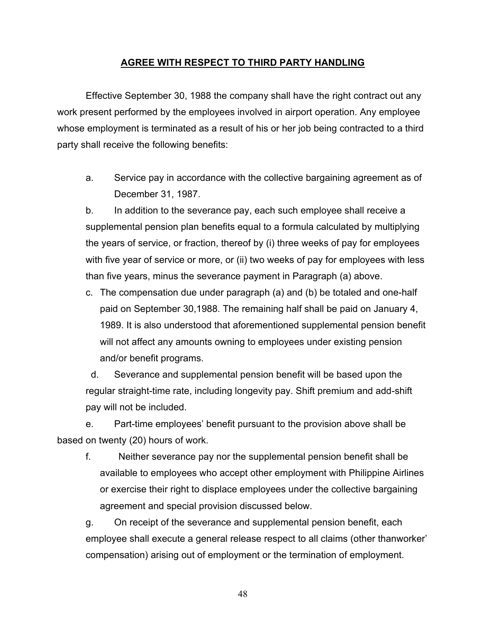## **AGREE WITH RESPECT TO THIRD PARTY HANDLING**

Effective September 30, 1988 the company shall have the right contract out any work present performed by the employees involved in airport operation. Any employee whose employment is terminated as a result of his or her job being contracted to a third party shall receive the following benefits:

a. Service pay in accordance with the collective bargaining agreement as of December 31, 1987.

b. In addition to the severance pay, each such employee shall receive a supplemental pension plan benefits equal to a formula calculated by multiplying the years of service, or fraction, thereof by (i) three weeks of pay for employees with five year of service or more, or (ii) two weeks of pay for employees with less than five years, minus the severance payment in Paragraph (a) above.

c. The compensation due under paragraph (a) and (b) be totaled and one-half paid on September 30,1988. The remaining half shall be paid on January 4, 1989. It is also understood that aforementioned supplemental pension benefit will not affect any amounts owning to employees under existing pension and/or benefit programs.

 d. Severance and supplemental pension benefit will be based upon the regular straight-time rate, including longevity pay. Shift premium and add-shift pay will not be included.

e. Part-time employees' benefit pursuant to the provision above shall be based on twenty (20) hours of work.

f. Neither severance pay nor the supplemental pension benefit shall be available to employees who accept other employment with Philippine Airlines or exercise their right to displace employees under the collective bargaining agreement and special provision discussed below.

g. On receipt of the severance and supplemental pension benefit, each employee shall execute a general release respect to all claims (other thanworker' compensation) arising out of employment or the termination of employment.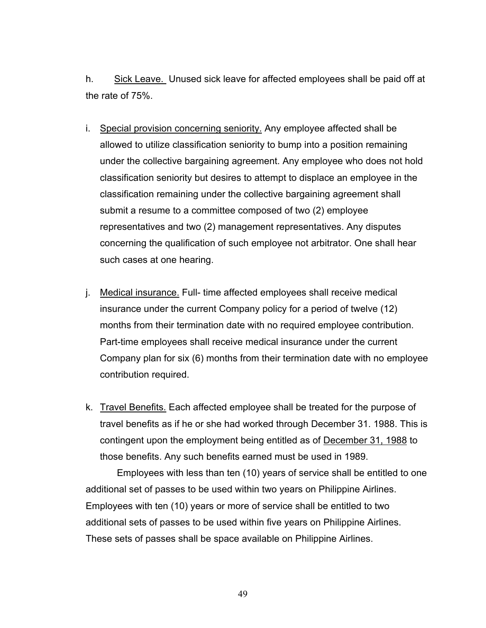h. Sick Leave. Unused sick leave for affected employees shall be paid off at the rate of 75%.

- i. Special provision concerning seniority. Any employee affected shall be allowed to utilize classification seniority to bump into a position remaining under the collective bargaining agreement. Any employee who does not hold classification seniority but desires to attempt to displace an employee in the classification remaining under the collective bargaining agreement shall submit a resume to a committee composed of two (2) employee representatives and two (2) management representatives. Any disputes concerning the qualification of such employee not arbitrator. One shall hear such cases at one hearing.
- j. Medical insurance. Full- time affected employees shall receive medical insurance under the current Company policy for a period of twelve (12) months from their termination date with no required employee contribution. Part-time employees shall receive medical insurance under the current Company plan for six (6) months from their termination date with no employee contribution required.
- k. Travel Benefits. Each affected employee shall be treated for the purpose of travel benefits as if he or she had worked through December 31. 1988. This is contingent upon the employment being entitled as of December 31, 1988 to those benefits. Any such benefits earned must be used in 1989.

 Employees with less than ten (10) years of service shall be entitled to one additional set of passes to be used within two years on Philippine Airlines. Employees with ten (10) years or more of service shall be entitled to two additional sets of passes to be used within five years on Philippine Airlines. These sets of passes shall be space available on Philippine Airlines.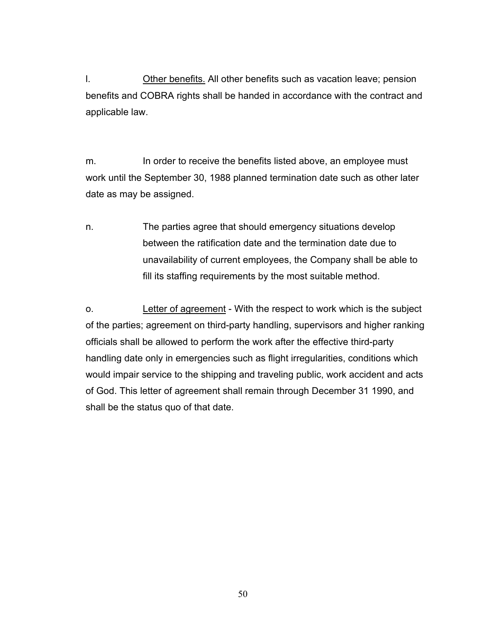l. Other benefits. All other benefits such as vacation leave; pension benefits and COBRA rights shall be handed in accordance with the contract and applicable law.

m. In order to receive the benefits listed above, an employee must work until the September 30, 1988 planned termination date such as other later date as may be assigned.

n. The parties agree that should emergency situations develop between the ratification date and the termination date due to unavailability of current employees, the Company shall be able to fill its staffing requirements by the most suitable method.

o. Letter of agreement - With the respect to work which is the subject of the parties; agreement on third-party handling, supervisors and higher ranking officials shall be allowed to perform the work after the effective third-party handling date only in emergencies such as flight irregularities, conditions which would impair service to the shipping and traveling public, work accident and acts of God. This letter of agreement shall remain through December 31 1990, and shall be the status quo of that date.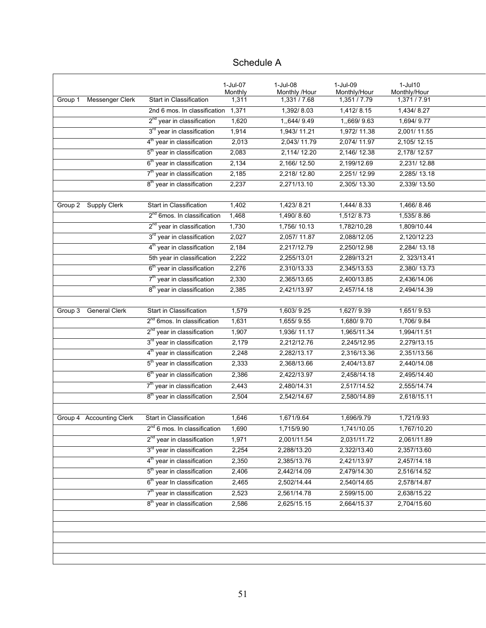|         |                          |                                         | 1-Jul-07<br>Monthly | 1-Jul-08<br>Monthly /Hour | 1-Jul-09<br>Monthly/Hour | 1-Jul10<br>Monthly/Hour |
|---------|--------------------------|-----------------------------------------|---------------------|---------------------------|--------------------------|-------------------------|
| Group 1 | <b>Messenger Clerk</b>   | Start in Classification                 | 1,311               | 1,331/7.68                | 1,351 / 7.79             | 1,371/7.91              |
|         |                          | 2nd 6 mos. In classification            | 1,371               | 1,392/8.03                | 1,412/8.15               | 1,434/8.27              |
|         |                          | 2 <sup>nd</sup> year in classification  | 1,620               | 1,,644/9.49               | 1,,669/9.63              | 1,694/9.77              |
|         |                          | 3 <sup>rd</sup> year in classification  | 1,914               | 1,943/11.21               | 1,972/11.38              | 2,001/11.55             |
|         |                          | 4 <sup>th</sup> year in classification  | 2,013               | 2,043/11.79               | 2,074/11.97              | 2,105/12.15             |
|         |                          | 5 <sup>th</sup> year in classification  | 2,083               | 2,114/12.20               | 2,146/12.38              | 2,178/12.57             |
|         |                          | 6 <sup>th</sup> year in classification  | 2,134               | 2,166/12.50               | 2,199/12.69              | 2,231/12.88             |
|         |                          | 7 <sup>th</sup> year in classification  | 2,185               | 2,218/12.80               | 2,251/12.99              | 2,285/13.18             |
|         |                          | 8 <sup>th</sup> year in classification  | 2,237               | 2,271/13.10               | 2,305/13.30              | 2,339/13.50             |
|         |                          |                                         |                     |                           |                          |                         |
| Group 2 | <b>Supply Clerk</b>      | Start in Classification                 | 1,402               | 1,423/8.21                | 1,444/8.33               | 1,466/8.46              |
|         |                          | 2 <sup>nd</sup> 6mos. In classification | 1,468               | 1,490/8.60                | 1,512/8.73               | 1,535/8.86              |
|         |                          | 2 <sup>nd</sup> year in classification  | 1,730               | 1,756/10.13               | 1,782/10,28              | 1,809/10.44             |
|         |                          | 3 <sup>rd</sup> year in classification  | 2,027               | 2,057/11.87               | 2,088/12.05              | 2,120/12.23             |
|         |                          | 4 <sup>th</sup> year in classification  | 2,184               | 2,217/12.79               | 2,250/12.98              | 2,284/13.18             |
|         |                          | 5th year in classification              | 2,222               | 2,255/13.01               | 2,289/13.21              | 2, 323/13.41            |
|         |                          | 6 <sup>th</sup> year in classification  | 2,276               | 2,310/13.33               | 2,345/13.53              | 2,380/13.73             |
|         |                          | 7 <sup>th</sup> year in classification  | 2,330               | 2,365/13.65               | 2,400/13.85              | 2,436/14.06             |
|         |                          | 8 <sup>th</sup> year in classification  | 2,385               | 2,421/13.97               | 2,457/14.18              | 2,494/14.39             |
|         |                          |                                         |                     |                           |                          |                         |
| Group 3 | <b>General Clerk</b>     | Start in Classification                 | 1,579               | 1,603/9.25                | 1,627/9.39               | 1,651/9.53              |
|         |                          | 2 <sup>nd</sup> 6mos. In classification | 1,631               | 1,655/9.55                | 1,680/9.70               | 1,706/9.84              |
|         |                          | 2 <sup>nd</sup> year in classification  | 1,907               | 1,936/11.17               | 1,965/11.34              | 1,994/11.51             |
|         |                          | 3 <sup>rd</sup> year in classification  | 2,179               | 2,212/12.76               | 2,245/12.95              | 2,279/13.15             |
|         |                          | 4 <sup>th</sup> year in classification  | 2,248               | 2,282/13.17               | 2,316/13.36              | 2,351/13.56             |
|         |                          | 5 <sup>th</sup> year in classification  | 2,333               | 2,368/13.66               | 2,404/13.87              | 2,440/14.08             |
|         |                          | 6 <sup>th</sup> year in classification  | 2,386               | 2,422/13.97               | 2,458/14.18              | 2,495/14.40             |
|         |                          | 7 <sup>th</sup> year in classification  | 2,443               | 2,480/14.31               | 2,517/14.52              | 2,555/14.74             |
|         |                          | 8 <sup>th</sup> year in classification  | 2,504               | 2,542/14.67               | 2,580/14.89              | 2,618/15.11             |
|         |                          |                                         |                     |                           |                          |                         |
|         | Group 4 Accounting Clerk | Start in Classification                 | 1,646               | 1,671/9.64                | 1,696/9.79               | 1,721/9.93              |
|         |                          | $2^{nd}$ 6 mos. In classification       | 1,690               | 1,715/9.90                | 1,741/10.05              | 1,767/10.20             |
|         |                          | 2 <sup>nd</sup> year in classification  | 1,971               | 2,001/11.54               | 2,031/11.72              | 2,061/11.89             |
|         |                          | 3 <sup>rd</sup> year in classification  | 2,254               | 2,288/13.20               | 2,322/13.40              | 2,357/13.60             |
|         |                          | 4 <sup>th</sup> year in classification  | 2,350               | 2,385/13.76               | 2,421/13.97              | 2,457/14.18             |
|         |                          | 5 <sup>th</sup> year in classification  | 2,406               | 2,442/14.09               | 2,479/14.30              | 2,516/14.52             |
|         |                          | 6 <sup>th</sup> year In classification  | 2,465               | 2,502/14.44               | 2,540/14.65              | 2,578/14.87             |
|         |                          | 7 <sup>th</sup> year in classification  | 2,523               | 2,561/14.78               | 2.599/15.00              | 2,638/15.22             |
|         |                          | 8 <sup>th</sup> year in classification  | 2,586               | 2,625/15.15               | 2,664/15.37              | 2,704/15.60             |
|         |                          |                                         |                     |                           |                          |                         |
|         |                          |                                         |                     |                           |                          |                         |
|         |                          |                                         |                     |                           |                          |                         |

# Schedule A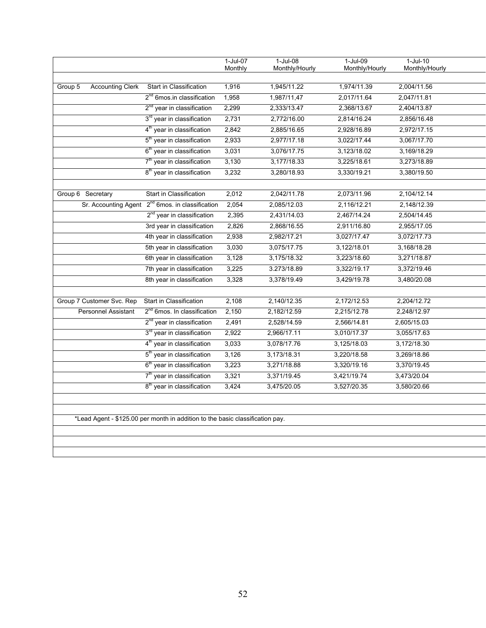|                                    |                                         | 1-Jul-07<br>Monthly | $1-Jul-08$<br>Monthly/Hourly | $1-Jul-09$<br>Monthly/Hourly | $1-Jul-10$<br>Monthly/Hourly |
|------------------------------------|-----------------------------------------|---------------------|------------------------------|------------------------------|------------------------------|
|                                    |                                         |                     |                              |                              |                              |
| Group 5<br><b>Accounting Clerk</b> | Start in Classification                 | 1,916               | 1,945/11.22                  | 1,974/11.39                  | 2,004/11.56                  |
|                                    | 2 <sup>nd</sup> 6mos.in classification  | 1,958               | 1,987/11,47                  | 2,017/11.64                  | 2,047/11.81                  |
|                                    | 2 <sup>nd</sup> year in classification  | 2,299               | 2,333/13.47                  | 2,368/13.67                  | 2,404/13.87                  |
|                                    | 3 <sup>rd</sup> year in classification  | 2,731               | 2,772/16.00                  | 2,814/16.24                  | 2,856/16.48                  |
|                                    | 4 <sup>th</sup> year in classification  | 2,842               | 2,885/16.65                  | 2,928/16.89                  | 2,972/17.15                  |
|                                    | 5 <sup>th</sup> year in classification  | 2,933               | 2,977/17.18                  | 3,022/17.44                  | 3,067/17.70                  |
|                                    | 6 <sup>th</sup> year in classification  | 3,031               | 3,076/17.75                  | 3,123/18.02                  | 3,169/18.29                  |
|                                    | 7 <sup>th</sup> year in classification  | 3,130               | 3,177/18.33                  | 3,225/18.61                  | 3,273/18.89                  |
|                                    | 8 <sup>th</sup> year in classification  | 3,232               | 3,280/18.93                  | 3,330/19.21                  | 3,380/19.50                  |
| Group 6 Secretary                  | Start in Classification                 | 2,012               | 2,042/11.78                  | 2,073/11.96                  | 2,104/12.14                  |
| Sr. Accounting Agent               | 2 <sup>nd</sup> 6mos. in classification | 2,054               | 2,085/12.03                  | 2,116/12.21                  | 2,148/12.39                  |
|                                    | 2 <sup>nd</sup> year in classification  | 2,395               | 2,431/14.03                  | 2,467/14.24                  | 2,504/14.45                  |
|                                    | 3rd year in classification              | 2,826               | 2,868/16.55                  | 2,911/16.80                  | 2,955/17.05                  |
|                                    | 4th year in classification              | 2,938               | 2,982/17.21                  | 3,027/17.47                  | 3,072/17.73                  |
|                                    | 5th year in classification              | 3,030               | 3,075/17.75                  | 3,122/18.01                  | 3,168/18.28                  |
|                                    | 6th year in classification              | 3,128               | 3,175/18.32                  | 3,223/18.60                  | 3,271/18.87                  |
|                                    | 7th year in classification              | 3,225               | 3.273/18.89                  | 3,322/19.17                  | 3,372/19.46                  |
|                                    | 8th year in classification              | 3,328               | 3,378/19.49                  | 3,429/19.78                  | 3,480/20.08                  |
|                                    |                                         |                     |                              |                              |                              |
| Group 7 Customer Svc. Rep          | <b>Start in Classification</b>          | 2,108               | 2,140/12.35                  | 2,172/12.53                  | 2,204/12.72                  |
| Personnel Assistant                | 2 <sup>nd</sup> 6mos. In classification | 2,150               | 2,182/12.59                  | 2,215/12.78                  | 2,248/12.97                  |
|                                    | 2 <sup>nd</sup> year in classification  | 2,491               | 2,528/14.59                  | 2,566/14.81                  | 2,605/15.03                  |
|                                    | 3 <sup>rd</sup> year in classification  | 2,922               | 2,966/17.11                  | 3,010/17.37                  | 3,055/17.63                  |
|                                    | 4 <sup>th</sup> year in classification  | 3,033               | 3,078/17.76                  | 3,125/18.03                  | 3,172/18.30                  |
|                                    | 5 <sup>th</sup> year in classification  | 3,126               | 3,173/18.31                  | 3,220/18.58                  | 3,269/18.86                  |
|                                    | 6 <sup>th</sup> year in classification  | 3,223               | 3,271/18.88                  | 3,320/19.16                  | 3,370/19.45                  |
|                                    | 7 <sup>th</sup> year in classification  | 3,321               | 3,371/19.45                  | 3,421/19.74                  | 3,473/20.04                  |
|                                    | 8 <sup>th</sup> year in classification  | 3,424               | 3,475/20.05                  | 3,527/20.35                  | 3,580/20.66                  |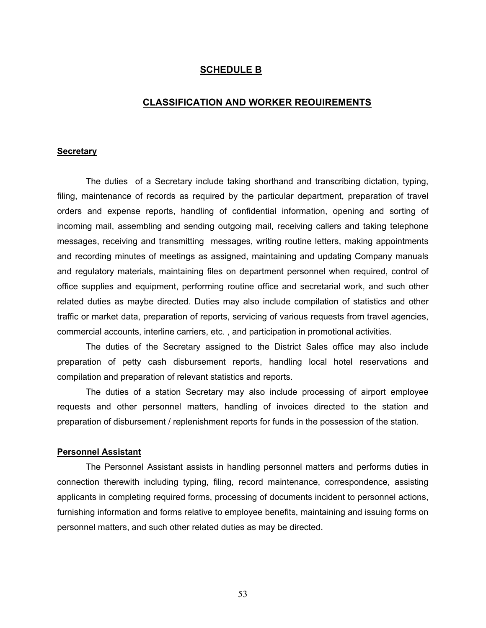#### **SCHEDULE B**

#### **CLASSIFICATION AND WORKER REOUIREMENTS**

#### **Secretary**

The duties of a Secretary include taking shorthand and transcribing dictation, typing, filing, maintenance of records as required by the particular department, preparation of travel orders and expense reports, handling of confidential information, opening and sorting of incoming mail, assembling and sending outgoing mail, receiving callers and taking telephone messages, receiving and transmitting messages, writing routine letters, making appointments and recording minutes of meetings as assigned, maintaining and updating Company manuals and regulatory materials, maintaining files on department personnel when required, control of office supplies and equipment, performing routine office and secretarial work, and such other related duties as maybe directed. Duties may also include compilation of statistics and other traffic or market data, preparation of reports, servicing of various requests from travel agencies, commercial accounts, interline carriers, etc. , and participation in promotional activities.

The duties of the Secretary assigned to the District Sales office may also include preparation of petty cash disbursement reports, handling local hotel reservations and compilation and preparation of relevant statistics and reports.

The duties of a station Secretary may also include processing of airport employee requests and other personnel matters, handling of invoices directed to the station and preparation of disbursement / replenishment reports for funds in the possession of the station.

#### **Personnel Assistant**

The Personnel Assistant assists in handling personnel matters and performs duties in connection therewith including typing, filing, record maintenance, correspondence, assisting applicants in completing required forms, processing of documents incident to personnel actions, furnishing information and forms relative to employee benefits, maintaining and issuing forms on personnel matters, and such other related duties as may be directed.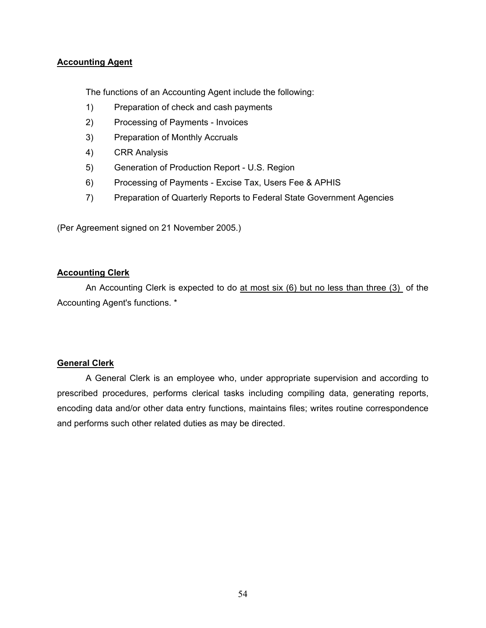### **Accounting Agent**

The functions of an Accounting Agent include the following:

- 1) Preparation of check and cash payments
- 2) Processing of Payments Invoices
- 3) Preparation of Monthly Accruals
- 4) CRR Analysis
- 5) Generation of Production Report U.S. Region
- 6) Processing of Payments Excise Tax, Users Fee & APHIS
- 7) Preparation of Quarterly Reports to Federal State Government Agencies

(Per Agreement signed on 21 November 2005.)

#### **Accounting Clerk**

An Accounting Clerk is expected to do at most six (6) but no less than three (3) of the Accounting Agent's functions. \*

#### **General Clerk**

A General Clerk is an employee who, under appropriate supervision and according to prescribed procedures, performs clerical tasks including compiling data, generating reports, encoding data and/or other data entry functions, maintains files; writes routine correspondence and performs such other related duties as may be directed.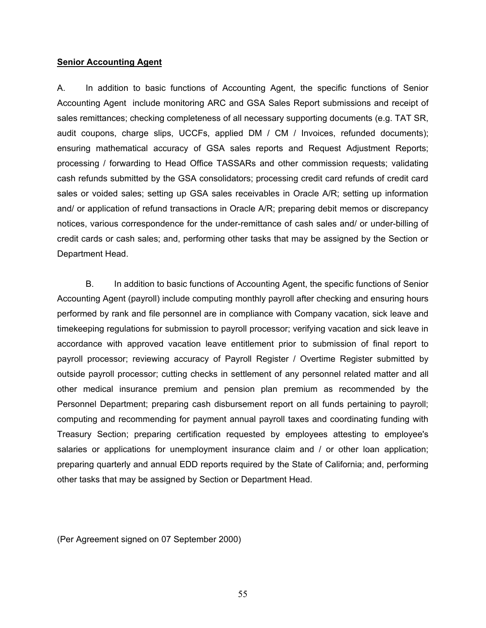#### **Senior Accounting Agent**

A. In addition to basic functions of Accounting Agent, the specific functions of Senior Accounting Agent include monitoring ARC and GSA Sales Report submissions and receipt of sales remittances; checking completeness of all necessary supporting documents (e.g. TAT SR, audit coupons, charge slips, UCCFs, applied DM / CM / Invoices, refunded documents); ensuring mathematical accuracy of GSA sales reports and Request Adjustment Reports; processing / forwarding to Head Office TASSARs and other commission requests; validating cash refunds submitted by the GSA consolidators; processing credit card refunds of credit card sales or voided sales; setting up GSA sales receivables in Oracle A/R; setting up information and/ or application of refund transactions in Oracle A/R; preparing debit memos or discrepancy notices, various correspondence for the under-remittance of cash sales and/ or under-billing of credit cards or cash sales; and, performing other tasks that may be assigned by the Section or Department Head.

B. In addition to basic functions of Accounting Agent, the specific functions of Senior Accounting Agent (payroll) include computing monthly payroll after checking and ensuring hours performed by rank and file personnel are in compliance with Company vacation, sick leave and timekeeping regulations for submission to payroll processor; verifying vacation and sick leave in accordance with approved vacation leave entitlement prior to submission of final report to payroll processor; reviewing accuracy of Payroll Register / Overtime Register submitted by outside payroll processor; cutting checks in settlement of any personnel related matter and all other medical insurance premium and pension plan premium as recommended by the Personnel Department; preparing cash disbursement report on all funds pertaining to payroll; computing and recommending for payment annual payroll taxes and coordinating funding with Treasury Section; preparing certification requested by employees attesting to employee's salaries or applications for unemployment insurance claim and / or other loan application; preparing quarterly and annual EDD reports required by the State of California; and, performing other tasks that may be assigned by Section or Department Head.

(Per Agreement signed on 07 September 2000)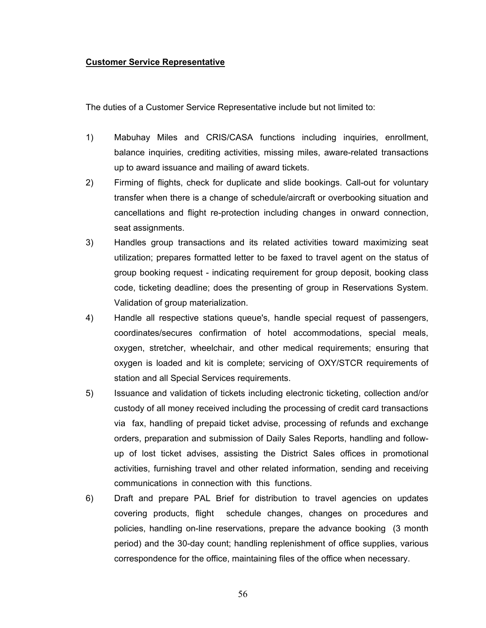#### **Customer Service Representative**

The duties of a Customer Service Representative include but not limited to:

- 1) Mabuhay Miles and CRIS/CASA functions including inquiries, enrollment, balance inquiries, crediting activities, missing miles, aware-related transactions up to award issuance and mailing of award tickets.
- 2) Firming of flights, check for duplicate and slide bookings. Call-out for voluntary transfer when there is a change of schedule/aircraft or overbooking situation and cancellations and flight re-protection including changes in onward connection, seat assignments.
- 3) Handles group transactions and its related activities toward maximizing seat utilization; prepares formatted letter to be faxed to travel agent on the status of group booking request - indicating requirement for group deposit, booking class code, ticketing deadline; does the presenting of group in Reservations System. Validation of group materialization.
- 4) Handle all respective stations queue's, handle special request of passengers, coordinates/secures confirmation of hotel accommodations, special meals, oxygen, stretcher, wheelchair, and other medical requirements; ensuring that oxygen is loaded and kit is complete; servicing of OXY/STCR requirements of station and all Special Services requirements.
- 5) Issuance and validation of tickets including electronic ticketing, collection and/or custody of all money received including the processing of credit card transactions via fax, handling of prepaid ticket advise, processing of refunds and exchange orders, preparation and submission of Daily Sales Reports, handling and followup of lost ticket advises, assisting the District Sales offices in promotional activities, furnishing travel and other related information, sending and receiving communications in connection with this functions.
- 6) Draft and prepare PAL Brief for distribution to travel agencies on updates covering products, flight schedule changes, changes on procedures and policies, handling on-line reservations, prepare the advance booking (3 month period) and the 30-day count; handling replenishment of office supplies, various correspondence for the office, maintaining files of the office when necessary.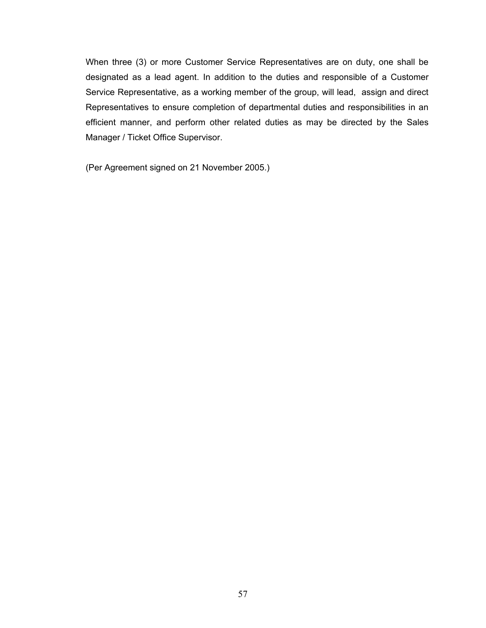When three (3) or more Customer Service Representatives are on duty, one shall be designated as a lead agent. In addition to the duties and responsible of a Customer Service Representative, as a working member of the group, will lead, assign and direct Representatives to ensure completion of departmental duties and responsibilities in an efficient manner, and perform other related duties as may be directed by the Sales Manager / Ticket Office Supervisor.

(Per Agreement signed on 21 November 2005.)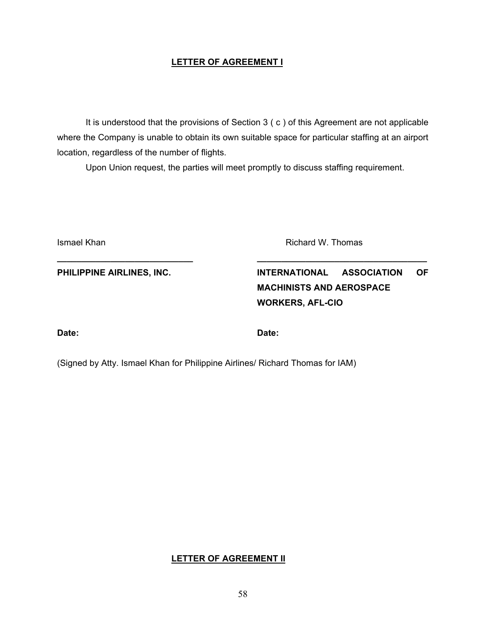## **LETTER OF AGREEMENT I**

It is understood that the provisions of Section 3 ( c ) of this Agreement are not applicable where the Company is unable to obtain its own suitable space for particular staffing at an airport location, regardless of the number of flights.

Upon Union request, the parties will meet promptly to discuss staffing requirement.

**\_\_\_\_\_\_\_\_\_\_\_\_\_\_\_\_\_\_\_\_\_\_\_\_\_\_\_\_ \_\_\_\_\_\_\_\_\_\_\_\_\_\_\_\_\_\_\_\_\_\_\_\_\_\_\_\_\_\_\_\_\_\_\_**

**Ismael Khan Richard W. Thomas** 

PHILIPPINE AIRLINES, INC. **INTERNATIONAL ASSOCIATION** OF **MACHINISTS AND AEROSPACE WORKERS, AFL-CIO**

**Date: Date:**

(Signed by Atty. Ismael Khan for Philippine Airlines/ Richard Thomas for IAM)

**LETTER OF AGREEMENT II**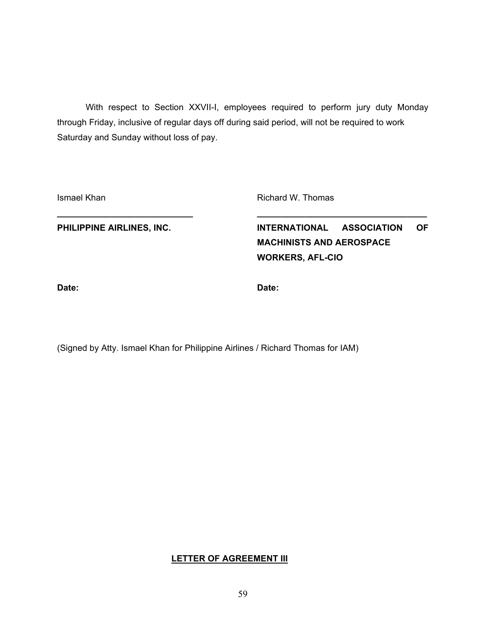With respect to Section XXVII-I, employees required to perform jury duty Monday through Friday, inclusive of regular days off during said period, will not be required to work Saturday and Sunday without loss of pay.

**\_\_\_\_\_\_\_\_\_\_\_\_\_\_\_\_\_\_\_\_\_\_\_\_\_\_\_\_ \_\_\_\_\_\_\_\_\_\_\_\_\_\_\_\_\_\_\_\_\_\_\_\_\_\_\_\_\_\_\_\_\_\_\_**

Ismael Khan **Richard W. Thomas** 

PHILIPPINE AIRLINES, INC. **INTERNATIONAL ASSOCIATION** OF **MACHINISTS AND AEROSPACE WORKERS, AFL-CIO**

**Date: Date:**

(Signed by Atty. Ismael Khan for Philippine Airlines / Richard Thomas for IAM)

## **LETTER OF AGREEMENT III**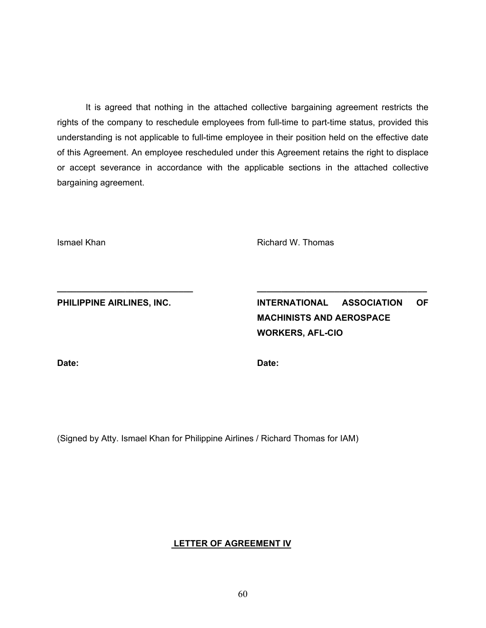It is agreed that nothing in the attached collective bargaining agreement restricts the rights of the company to reschedule employees from full-time to part-time status, provided this understanding is not applicable to full-time employee in their position held on the effective date of this Agreement. An employee rescheduled under this Agreement retains the right to displace or accept severance in accordance with the applicable sections in the attached collective bargaining agreement.

**\_\_\_\_\_\_\_\_\_\_\_\_\_\_\_\_\_\_\_\_\_\_\_\_\_\_\_\_ \_\_\_\_\_\_\_\_\_\_\_\_\_\_\_\_\_\_\_\_\_\_\_\_\_\_\_\_\_\_\_\_\_\_\_**

Ismael Khan **Richard W. Thomas** 

PHILIPPINE AIRLINES, INC. **INTERNATIONAL ASSOCIATION** OF **MACHINISTS AND AEROSPACE WORKERS, AFL-CIO**

**Date: Date:**

(Signed by Atty. Ismael Khan for Philippine Airlines / Richard Thomas for IAM)

#### **LETTER OF AGREEMENT IV**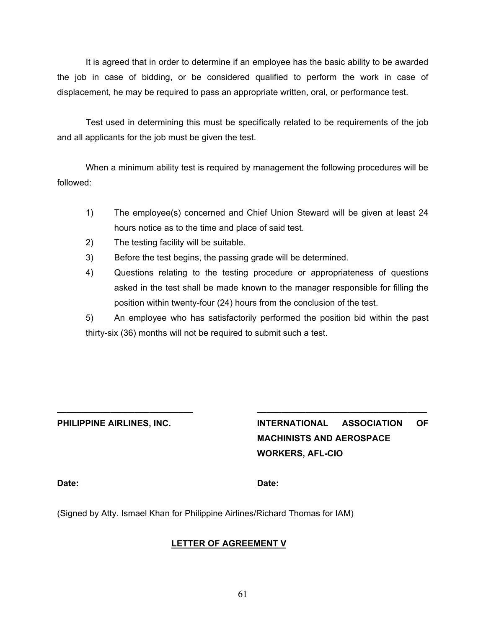It is agreed that in order to determine if an employee has the basic ability to be awarded the job in case of bidding, or be considered qualified to perform the work in case of displacement, he may be required to pass an appropriate written, oral, or performance test.

Test used in determining this must be specifically related to be requirements of the job and all applicants for the job must be given the test.

When a minimum ability test is required by management the following procedures will be followed:

- 1) The employee(s) concerned and Chief Union Steward will be given at least 24 hours notice as to the time and place of said test.
- 2) The testing facility will be suitable.
- 3) Before the test begins, the passing grade will be determined.
- 4) Questions relating to the testing procedure or appropriateness of questions asked in the test shall be made known to the manager responsible for filling the position within twenty-four (24) hours from the conclusion of the test.

5) An employee who has satisfactorily performed the position bid within the past thirty-six (36) months will not be required to submit such a test.

**\_\_\_\_\_\_\_\_\_\_\_\_\_\_\_\_\_\_\_\_\_\_\_\_\_\_\_\_ \_\_\_\_\_\_\_\_\_\_\_\_\_\_\_\_\_\_\_\_\_\_\_\_\_\_\_\_\_\_\_\_\_\_\_**

**PHILIPPINE AIRLINES, INC. INTERNATIONAL ASSOCIATION OF MACHINISTS AND AEROSPACE WORKERS, AFL-CIO**

#### **Date: Date:**

(Signed by Atty. Ismael Khan for Philippine Airlines/Richard Thomas for IAM)

## **LETTER OF AGREEMENT V**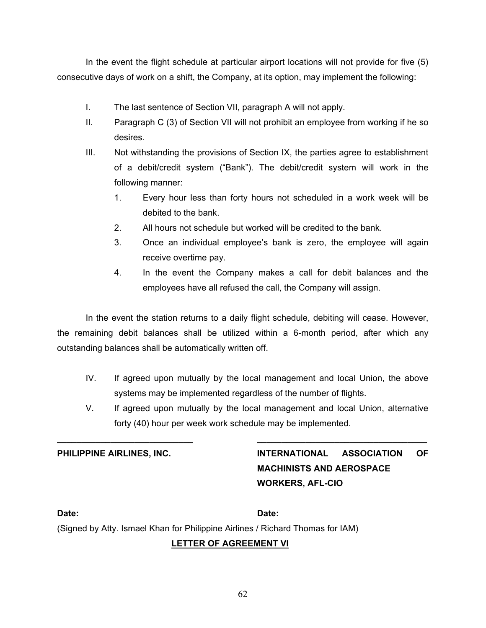In the event the flight schedule at particular airport locations will not provide for five (5) consecutive days of work on a shift, the Company, at its option, may implement the following:

- I. The last sentence of Section VII, paragraph A will not apply.
- II. Paragraph C (3) of Section VII will not prohibit an employee from working if he so desires.
- III. Not withstanding the provisions of Section IX, the parties agree to establishment of a debit/credit system ("Bank"). The debit/credit system will work in the following manner:
	- 1. Every hour less than forty hours not scheduled in a work week will be debited to the bank.
	- 2. All hours not schedule but worked will be credited to the bank.
	- 3. Once an individual employee's bank is zero, the employee will again receive overtime pay.
	- 4. In the event the Company makes a call for debit balances and the employees have all refused the call, the Company will assign.

In the event the station returns to a daily flight schedule, debiting will cease. However, the remaining debit balances shall be utilized within a 6-month period, after which any outstanding balances shall be automatically written off.

- IV. If agreed upon mutually by the local management and local Union, the above systems may be implemented regardless of the number of flights.
- V. If agreed upon mutually by the local management and local Union, alternative forty (40) hour per week work schedule may be implemented.

**\_\_\_\_\_\_\_\_\_\_\_\_\_\_\_\_\_\_\_\_\_\_\_\_\_\_\_\_ \_\_\_\_\_\_\_\_\_\_\_\_\_\_\_\_\_\_\_\_\_\_\_\_\_\_\_\_\_\_\_\_\_\_\_**

**PHILIPPINE AIRLINES, INC. INTERNATIONAL ASSOCIATION OF MACHINISTS AND AEROSPACE WORKERS, AFL-CIO**

**Date: Date:**

(Signed by Atty. Ismael Khan for Philippine Airlines / Richard Thomas for IAM)

## **LETTER OF AGREEMENT VI**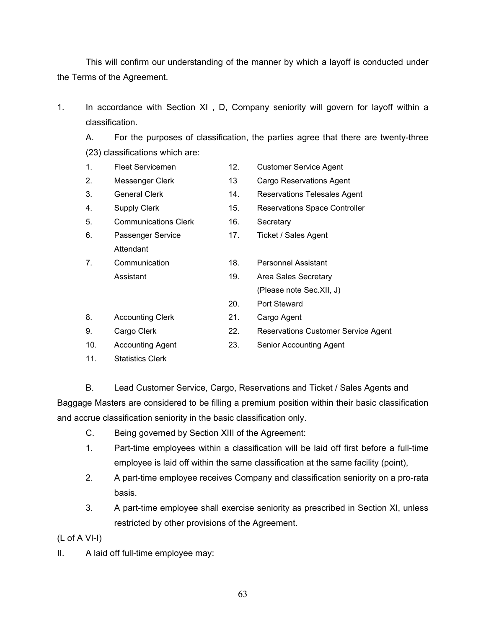This will confirm our understanding of the manner by which a layoff is conducted under the Terms of the Agreement.

1. In accordance with Section XI , D, Company seniority will govern for layoff within a classification.

A. For the purposes of classification, the parties agree that there are twenty-three (23) classifications which are:

- 1. Fleet Servicemen 12. Customer Service Agent 2. Messenger Clerk 13 Cargo Reservations Agent
- 
- 
- 5. Communications Clerk 16. Secretary
- 6. Passenger Service 17. Ticket / Sales Agent Attendant
- 7. Communication 18. Personnel Assistant Assistant 19. Area Sales Secretary
- 
- 
- 
- 3. General Clerk 14. Reservations Telesales Agent
- 4. Supply Clerk 15. Reservations Space Controller
	-
	-
	-
	- (Please note Sec.XII, J)
	- 20. Port Steward
- 8. Accounting Clerk 21. Cargo Agent
- 9. Cargo Clerk 22. Reservations Customer Service Agent
- 10. Accounting Agent 23. Senior Accounting Agent
- 11. Statistics Clerk
- 

B. Lead Customer Service, Cargo, Reservations and Ticket / Sales Agents and Baggage Masters are considered to be filling a premium position within their basic classification and accrue classification seniority in the basic classification only.

- C. Being governed by Section XIII of the Agreement:
- 1. Part-time employees within a classification will be laid off first before a full-time employee is laid off within the same classification at the same facility (point),
- 2. A part-time employee receives Company and classification seniority on a pro-rata basis.
- 3. A part-time employee shall exercise seniority as prescribed in Section XI, unless restricted by other provisions of the Agreement.

(L of A VI-I)

II. A laid off full-time employee may: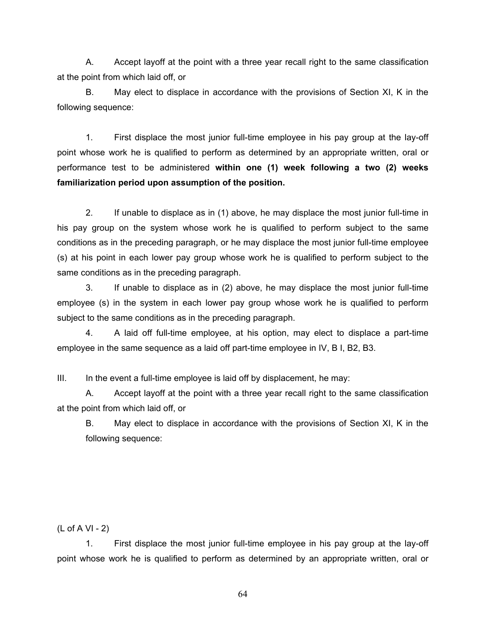A. Accept layoff at the point with a three year recall right to the same classification at the point from which laid off, or

B. May elect to displace in accordance with the provisions of Section XI, K in the following sequence:

1. First displace the most junior full-time employee in his pay group at the lay-off point whose work he is qualified to perform as determined by an appropriate written, oral or performance test to be administered **within one (1) week following a two (2) weeks familiarization period upon assumption of the position.**

2. If unable to displace as in (1) above, he may displace the most junior full-time in his pay group on the system whose work he is qualified to perform subject to the same conditions as in the preceding paragraph, or he may displace the most junior full-time employee (s) at his point in each lower pay group whose work he is qualified to perform subject to the same conditions as in the preceding paragraph.

3. If unable to displace as in (2) above, he may displace the most junior full-time employee (s) in the system in each lower pay group whose work he is qualified to perform subject to the same conditions as in the preceding paragraph.

4. A laid off full-time employee, at his option, may elect to displace a part-time employee in the same sequence as a laid off part-time employee in IV, B I, B2, B3.

III. In the event a full-time employee is laid off by displacement, he may:

A. Accept layoff at the point with a three year recall right to the same classification at the point from which laid off, or

B. May elect to displace in accordance with the provisions of Section XI, K in the following sequence:

(L of A VI - 2)

1. First displace the most junior full-time employee in his pay group at the lay-off point whose work he is qualified to perform as determined by an appropriate written, oral or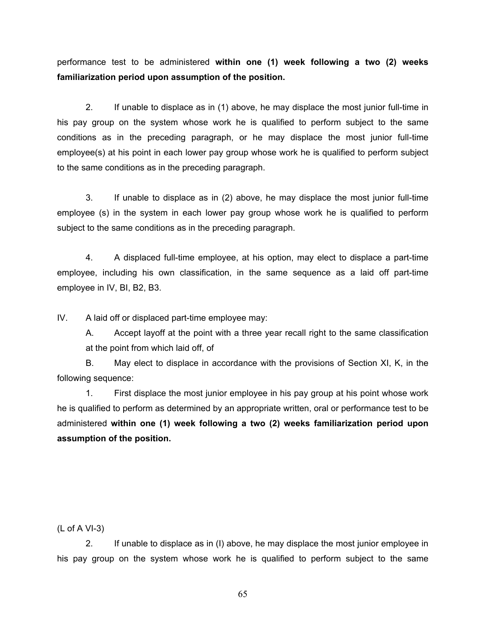performance test to be administered **within one (1) week following a two (2) weeks familiarization period upon assumption of the position.**

2. If unable to displace as in (1) above, he may displace the most junior full-time in his pay group on the system whose work he is qualified to perform subject to the same conditions as in the preceding paragraph, or he may displace the most junior full-time employee(s) at his point in each lower pay group whose work he is qualified to perform subject to the same conditions as in the preceding paragraph.

3. If unable to displace as in (2) above, he may displace the most junior full-time employee (s) in the system in each lower pay group whose work he is qualified to perform subject to the same conditions as in the preceding paragraph.

4. A displaced full-time employee, at his option, may elect to displace a part-time employee, including his own classification, in the same sequence as a laid off part-time employee in IV, BI, B2, B3.

IV. A laid off or displaced part-time employee may:

A. Accept layoff at the point with a three year recall right to the same classification at the point from which laid off, of

B. May elect to displace in accordance with the provisions of Section XI, K, in the following sequence:

1. First displace the most junior employee in his pay group at his point whose work he is qualified to perform as determined by an appropriate written, oral or performance test to be administered **within one (1) week following a two (2) weeks familiarization period upon assumption of the position.**

(L of A VI-3)

2. If unable to displace as in (I) above, he may displace the most junior employee in his pay group on the system whose work he is qualified to perform subject to the same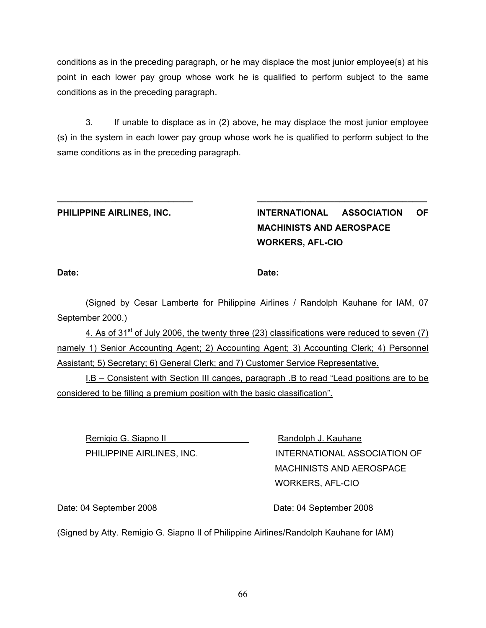conditions as in the preceding paragraph, or he may displace the most junior employee{s) at his point in each lower pay group whose work he is qualified to perform subject to the same conditions as in the preceding paragraph.

3. If unable to displace as in (2) above, he may displace the most junior employee (s) in the system in each lower pay group whose work he is qualified to perform subject to the same conditions as in the preceding paragraph.

**\_\_\_\_\_\_\_\_\_\_\_\_\_\_\_\_\_\_\_\_\_\_\_\_\_\_\_\_ \_\_\_\_\_\_\_\_\_\_\_\_\_\_\_\_\_\_\_\_\_\_\_\_\_\_\_\_\_\_\_\_\_\_\_**

**PHILIPPINE AIRLINES, INC. INTERNATIONAL ASSOCIATION OF MACHINISTS AND AEROSPACE WORKERS, AFL-CIO**

**Date: Date:**

(Signed by Cesar Lamberte for Philippine Airlines / Randolph Kauhane for IAM, 07 September 2000.)

4. As of 31<sup>st</sup> of July 2006, the twenty three (23) classifications were reduced to seven (7) namely 1) Senior Accounting Agent; 2) Accounting Agent; 3) Accounting Clerk; 4) Personnel Assistant; 5) Secretary; 6) General Clerk; and 7) Customer Service Representative.

I.B – Consistent with Section III canges, paragraph .B to read "Lead positions are to be considered to be filling a premium position with the basic classification".

Remigio G. Siapno II Randolph J. Kauhane

PHILIPPINE AIRLINES, INC. INTERNATIONAL ASSOCIATION OF MACHINISTS AND AEROSPACE WORKERS, AFL-CIO

Date: 04 September 2008 Date: 04 September 2008

(Signed by Atty. Remigio G. Siapno II of Philippine Airlines/Randolph Kauhane for IAM)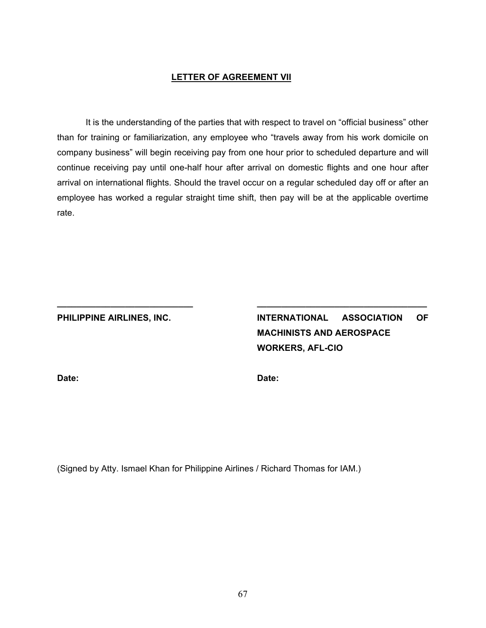#### **LETTER OF AGREEMENT VII**

It is the understanding of the parties that with respect to travel on "official business" other than for training or familiarization, any employee who "travels away from his work domicile on company business" will begin receiving pay from one hour prior to scheduled departure and will continue receiving pay until one-half hour after arrival on domestic flights and one hour after arrival on international flights. Should the travel occur on a regular scheduled day off or after an employee has worked a regular straight time shift, then pay will be at the applicable overtime rate.

**\_\_\_\_\_\_\_\_\_\_\_\_\_\_\_\_\_\_\_\_\_\_\_\_\_\_\_\_ \_\_\_\_\_\_\_\_\_\_\_\_\_\_\_\_\_\_\_\_\_\_\_\_\_\_\_\_\_\_\_\_\_\_\_**

**PHILIPPINE AIRLINES, INC. INTERNATIONAL ASSOCIATION OF MACHINISTS AND AEROSPACE WORKERS, AFL-CIO**

**Date: Date:**

(Signed by Atty. Ismael Khan for Philippine Airlines / Richard Thomas for IAM.)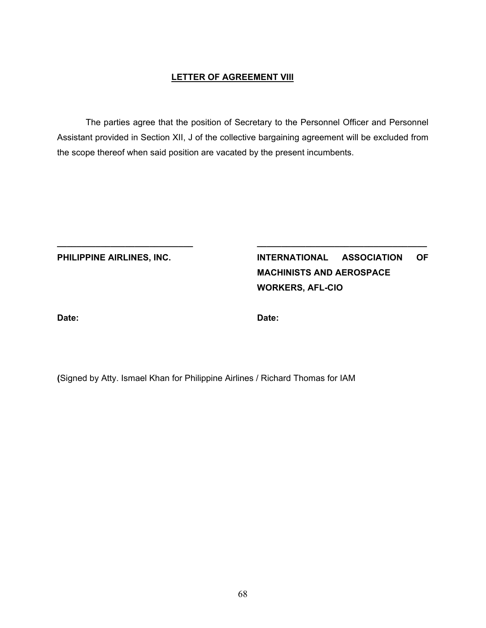#### **LETTER OF AGREEMENT VIII**

The parties agree that the position of Secretary to the Personnel Officer and Personnel Assistant provided in Section XII, J of the collective bargaining agreement will be excluded from the scope thereof when said position are vacated by the present incumbents.

**\_\_\_\_\_\_\_\_\_\_\_\_\_\_\_\_\_\_\_\_\_\_\_\_\_\_\_\_ \_\_\_\_\_\_\_\_\_\_\_\_\_\_\_\_\_\_\_\_\_\_\_\_\_\_\_\_\_\_\_\_\_\_\_**

**PHILIPPINE AIRLINES, INC. INTERNATIONAL ASSOCIATION OF MACHINISTS AND AEROSPACE WORKERS, AFL-CIO**

**Date: Date:**

**(**Signed by Atty. Ismael Khan for Philippine Airlines / Richard Thomas for IAM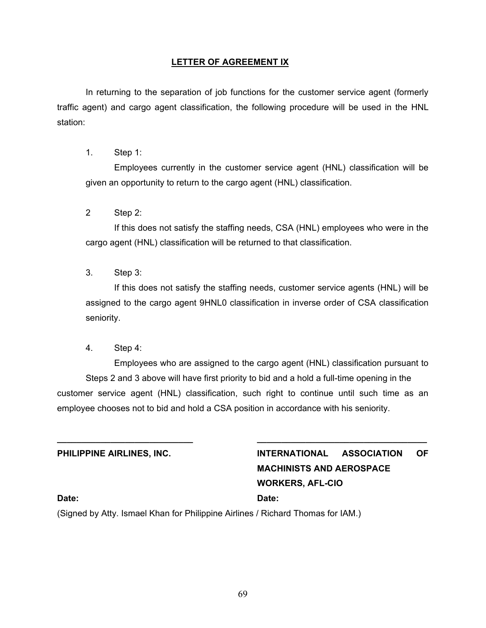## **LETTER OF AGREEMENT IX**

In returning to the separation of job functions for the customer service agent (formerly traffic agent) and cargo agent classification, the following procedure will be used in the HNL station:

1. Step 1:

Employees currently in the customer service agent (HNL) classification will be given an opportunity to return to the cargo agent (HNL) classification.

2 Step 2:

If this does not satisfy the staffing needs, CSA (HNL) employees who were in the cargo agent (HNL) classification will be returned to that classification.

3. Step 3:

If this does not satisfy the staffing needs, customer service agents (HNL) will be assigned to the cargo agent 9HNL0 classification in inverse order of CSA classification seniority.

4. Step 4:

Employees who are assigned to the cargo agent (HNL) classification pursuant to Steps 2 and 3 above will have first priority to bid and a hold a full-time opening in the customer service agent (HNL) classification, such right to continue until such time as an employee chooses not to bid and hold a CSA position in accordance with his seniority.

**\_\_\_\_\_\_\_\_\_\_\_\_\_\_\_\_\_\_\_\_\_\_\_\_\_\_\_\_ \_\_\_\_\_\_\_\_\_\_\_\_\_\_\_\_\_\_\_\_\_\_\_\_\_\_\_\_\_\_\_\_\_\_\_**

**PHILIPPINE AIRLINES, INC. INTERNATIONAL ASSOCIATION OF MACHINISTS AND AEROSPACE WORKERS, AFL-CIO**

#### **Date: Date:**

(Signed by Atty. Ismael Khan for Philippine Airlines / Richard Thomas for IAM.)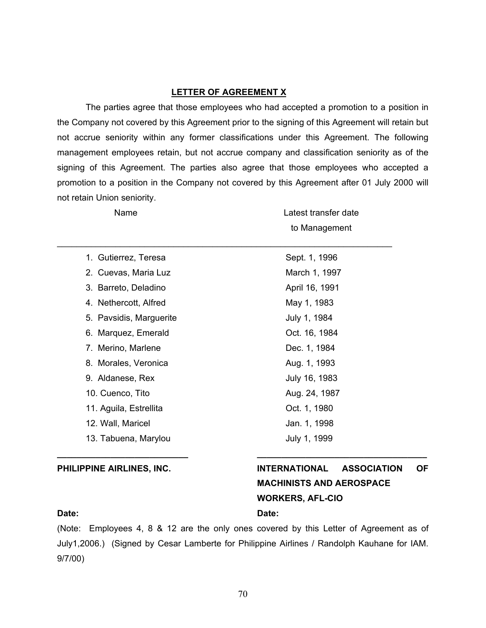#### **LETTER OF AGREEMENT X**

The parties agree that those employees who had accepted a promotion to a position in the Company not covered by this Agreement prior to the signing of this Agreement will retain but not accrue seniority within any former classifications under this Agreement. The following management employees retain, but not accrue company and classification seniority as of the signing of this Agreement. The parties also agree that those employees who accepted a promotion to a position in the Company not covered by this Agreement after 01 July 2000 will not retain Union seniority.

| Name                    | Latest transfer date |  |
|-------------------------|----------------------|--|
|                         | to Management        |  |
| 1. Gutierrez, Teresa    | Sept. 1, 1996        |  |
| 2. Cuevas, Maria Luz    | March 1, 1997        |  |
| 3. Barreto, Deladino    | April 16, 1991       |  |
| 4. Nethercott, Alfred   | May 1, 1983          |  |
| 5. Pavsidis, Marguerite | July 1, 1984         |  |
| 6. Marquez, Emerald     | Oct. 16, 1984        |  |
| 7. Merino, Marlene      | Dec. 1, 1984         |  |
| 8. Morales, Veronica    | Aug. 1, 1993         |  |
| 9. Aldanese, Rex        | July 16, 1983        |  |
| 10. Cuenco, Tito        | Aug. 24, 1987        |  |
| 11. Aguila, Estrellita  | Oct. 1, 1980         |  |
| 12. Wall, Maricel       | Jan. 1, 1998         |  |
| 13. Tabuena, Marylou    | July 1, 1999         |  |

# **PHILIPPINE AIRLINES, INC. INTERNATIONAL ASSOCIATION OF MACHINISTS AND AEROSPACE WORKERS, AFL-CIO**

#### **Date: Date:**

(Note: Employees 4, 8 & 12 are the only ones covered by this Letter of Agreement as of July1,2006.) (Signed by Cesar Lamberte for Philippine Airlines / Randolph Kauhane for IAM. 9/7/00)